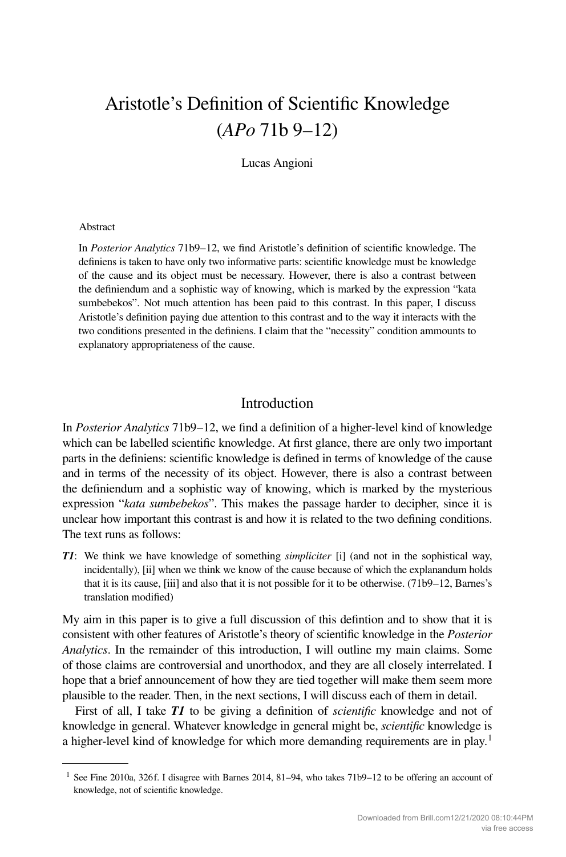# Aristotle's Definition of Scientific Knowledge (*APo* 71b 9–12)

Lucas Angioni

#### Abstract

In Posterior Analytics 71b9-12, we find Aristotle's definition of scientific knowledge. The definiens is taken to have only two informative parts: scientific knowledge must be knowledge of the cause and its object must be necessary. However, there is also a contrast between the definiendum and a sophistic way of knowing, which is marked by the expression "kata sumbebekos". Not much attention has been paid to this contrast. In this paper, I discuss Aristotle's definition paying due attention to this contrast and to the way it interacts with the two conditions presented in the definiens. I claim that the "necessity" condition ammounts to explanatory appropriateness of the cause.

# Introduction

In Posterior Analytics 71b9-12, we find a definition of a higher-level kind of knowledge which can be labelled scientific knowledge. At first glance, there are only two important parts in the definiens: scientific knowledge is defined in terms of knowledge of the cause and in terms of the necessity of its object. However, there is also a contrast between the definiendum and a sophistic way of knowing, which is marked by the mysterious expression "*kata sumbebekos*". This makes the passage harder to decipher, since it is unclear how important this contrast is and how it is related to the two defining conditions. The text runs as follows:

*T1*: We think we have knowledge of something *simpliciter* [i] (and not in the sophistical way, incidentally), [ii] when we think we know of the cause because of which the explanandum holds that it is its cause, [iii] and also that it is not possible for it to be otherwise. (71b9–12, Barnes's translation modified)

My aim in this paper is to give a full discussion of this defintion and to show that it is consistent with other features of Aristotle's theory of scientific knowledge in the *Posterior Analytics*. In the remainder of this introduction, I will outline my main claims. Some of those claims are controversial and unorthodox, and they are all closely interrelated. I hope that a brief announcement of how they are tied together will make them seem more plausible to the reader. Then, in the next sections, I will discuss each of them in detail.

First of all, I take T1 to be giving a definition of *scientific* knowledge and not of knowledge in general. Whatever knowledge in general might be, *scientific* knowledge is a higher-level kind of knowledge for which more demanding requirements are in play.<sup>1</sup>

<sup>&</sup>lt;sup>1</sup> See Fine 2010a, 326f. I disagree with Barnes 2014, 81–94, who takes 71b9–12 to be offering an account of knowledge, not of scientific knowledge.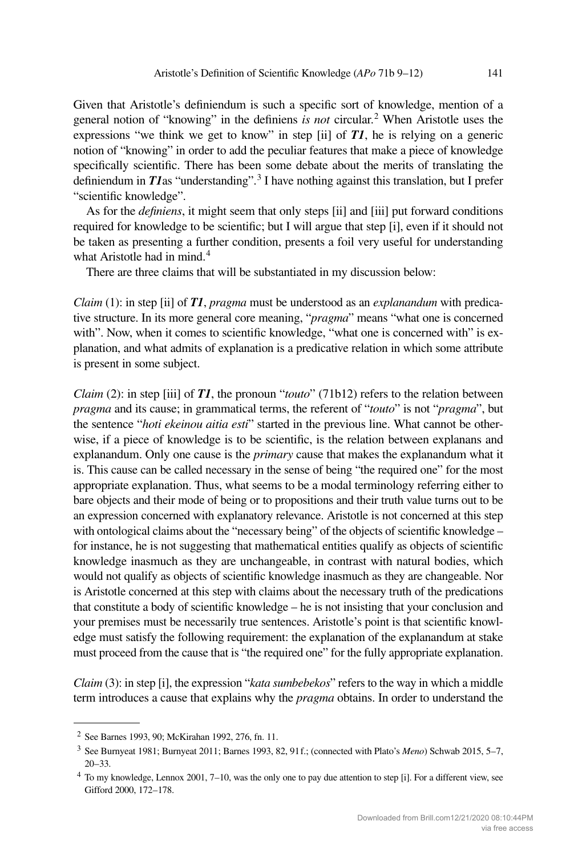Given that Aristotle's definiendum is such a specific sort of knowledge, mention of a general notion of "knowing" in the definiens *is not* circular.<sup>2</sup> When Aristotle uses the expressions "we think we get to know" in step [ii] of *T1*, he is relying on a generic notion of "knowing" in order to add the peculiar features that make a piece of knowledge specifically scientific. There has been some debate about the merits of translating the definiendum in *T1*as "understanding".<sup>3</sup> I have nothing against this translation, but I prefer "scientific knowledge".

As for the *definiens*, it might seem that only steps [ii] and [iii] put forward conditions required for knowledge to be scientific; but I will argue that step [i], even if it should not be taken as presenting a further condition, presents a foil very useful for understanding what Aristotle had in mind.<sup>4</sup>

There are three claims that will be substantiated in my discussion below:

*Claim* (1): in step [ii] of *T1*, *pragma* must be understood as an *explanandum* with predicative structure. In its more general core meaning, "*pragma*" means "what one is concerned with". Now, when it comes to scientific knowledge, "what one is concerned with" is explanation, and what admits of explanation is a predicative relation in which some attribute is present in some subject.

*Claim* (2): in step [iii] of *T1*, the pronoun "*touto*" (71b12) refers to the relation between *pragma* and its cause; in grammatical terms, the referent of "*touto*" is not "*pragma*", but the sentence "*hoti ekeinou aitia esti*" started in the previous line. What cannot be otherwise, if a piece of knowledge is to be scientific, is the relation between explanans and explanandum. Only one cause is the *primary* cause that makes the explanandum what it is. This cause can be called necessary in the sense of being "the required one" for the most appropriate explanation. Thus, what seems to be a modal terminology referring either to bare objects and their mode of being or to propositions and their truth value turns out to be an expression concerned with explanatory relevance. Aristotle is not concerned at this step with ontological claims about the "necessary being" of the objects of scientific knowledge – for instance, he is not suggesting that mathematical entities qualify as objects of scientific knowledge inasmuch as they are unchangeable, in contrast with natural bodies, which would not qualify as objects of scientific knowledge inasmuch as they are changeable. Nor is Aristotle concerned at this step with claims about the necessary truth of the predications that constitute a body of scientific knowledge  $-$  he is not insisting that your conclusion and your premises must be necessarily true sentences. Aristotle's point is that scientific knowledge must satisfy the following requirement: the explanation of the explanandum at stake must proceed from the cause that is "the required one" for the fully appropriate explanation.

*Claim* (3): in step [i], the expression "*kata sumbebekos*" refers to the way in which a middle term introduces a cause that explains why the *pragma* obtains. In order to understand the

<sup>2</sup> See Barnes 1993, 90; McKirahan 1992, 276, fn. 11.

<sup>3</sup> See Burnyeat 1981; Burnyeat 2011; Barnes 1993, 82, 91 f.; (connected with Plato's *Meno*) Schwab 2015, 5–7, 20–33.

<sup>4</sup> To my knowledge, Lennox 2001, 7–10, was the only one to pay due attention to step [i]. For a different view, see Gifford 2000, 172–178.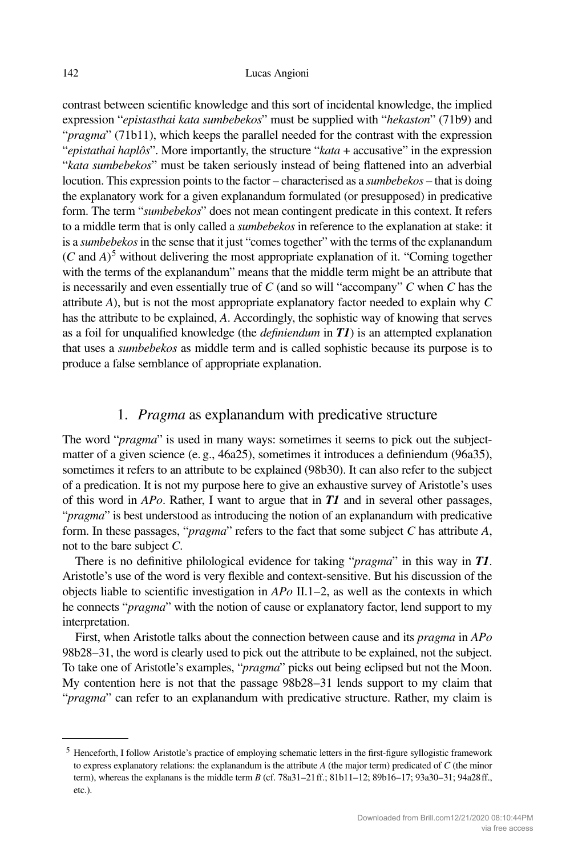contrast between scientific knowledge and this sort of incidental knowledge, the implied expression "*epistasthai kata sumbebekos*" must be supplied with "*hekaston*" (71b9) and "*pragma*" (71b11), which keeps the parallel needed for the contrast with the expression "*epistathai haplôs*". More importantly, the structure "*kata* + accusative" in the expression "*kata sumbebekos*" must be taken seriously instead of being flattened into an adverbial locution. This expression points to the factor – characterised as a *sumbebekos* – that is doing the explanatory work for a given explanandum formulated (or presupposed) in predicative form. The term "*sumbebekos*" does not mean contingent predicate in this context. It refers to a middle term that is only called a *sumbebekos* in reference to the explanation at stake: it is a *sumbebekos*in the sense that it just "comes together" with the terms of the explanandum (*C* and *A*) <sup>5</sup> without delivering the most appropriate explanation of it. "Coming together with the terms of the explanandum" means that the middle term might be an attribute that is necessarily and even essentially true of *C* (and so will "accompany" *C* when *C* has the attribute *A*), but is not the most appropriate explanatory factor needed to explain why *C* has the attribute to be explained, *A*. Accordingly, the sophistic way of knowing that serves as a foil for unqualified knowledge (the *definiendum* in *T1*) is an attempted explanation that uses a *sumbebekos* as middle term and is called sophistic because its purpose is to produce a false semblance of appropriate explanation.

# 1. *Pragma* as explanandum with predicative structure

The word "*pragma*" is used in many ways: sometimes it seems to pick out the subjectmatter of a given science (e.g., 46a25), sometimes it introduces a definiendum (96a35). sometimes it refers to an attribute to be explained (98b30). It can also refer to the subject of a predication. It is not my purpose here to give an exhaustive survey of Aristotle's uses of this word in *APo*. Rather, I want to argue that in *T1* and in several other passages, "*pragma*" is best understood as introducing the notion of an explanandum with predicative form. In these passages, "*pragma*" refers to the fact that some subject *C* has attribute *A*, not to the bare subject *C*.

There is no definitive philological evidence for taking "*pragma*" in this way in **T1**. Aristotle's use of the word is very flexible and context-sensitive. But his discussion of the objects liable to scientific investigation in  $APo$  II.1–2, as well as the contexts in which he connects "*pragma*" with the notion of cause or explanatory factor, lend support to my interpretation.

First, when Aristotle talks about the connection between cause and its *pragma* in *APo* 98b28–31, the word is clearly used to pick out the attribute to be explained, not the subject. To take one of Aristotle's examples, "*pragma*" picks out being eclipsed but not the Moon. My contention here is not that the passage 98b28–31 lends support to my claim that "*pragma*" can refer to an explanandum with predicative structure. Rather, my claim is

<sup>&</sup>lt;sup>5</sup> Henceforth, I follow Aristotle's practice of employing schematic letters in the first-figure syllogistic framework to express explanatory relations: the explanandum is the attribute *A* (the major term) predicated of *C* (the minor term), whereas the explanans is the middle term *B* (cf. 78a31–21 ff.; 81b11–12; 89b16–17; 93a30–31; 94a28 ff., etc.).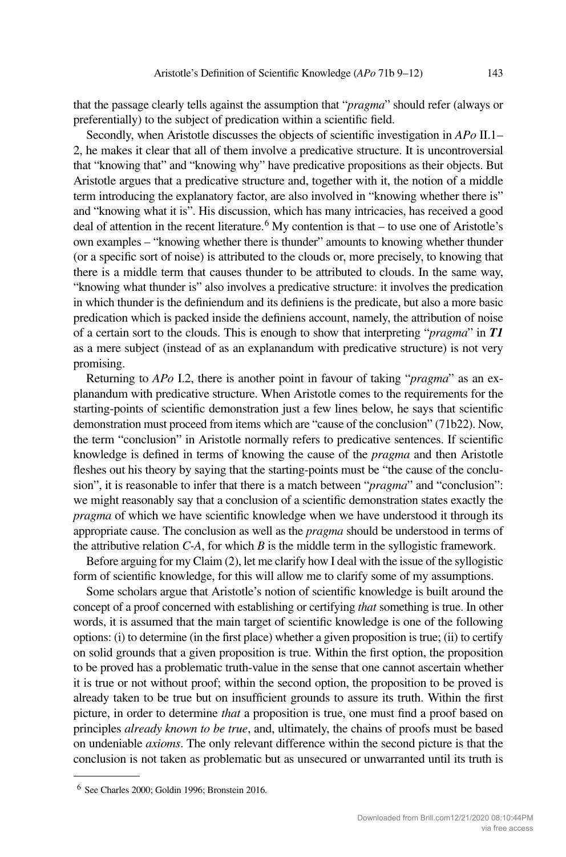that the passage clearly tells against the assumption that "*pragma*" should refer (always or preferentially) to the subject of predication within a scientific field.

Secondly, when Aristotle discusses the objects of scientific investigation in *APo* II.1-2, he makes it clear that all of them involve a predicative structure. It is uncontroversial that "knowing that" and "knowing why" have predicative propositions as their objects. But Aristotle argues that a predicative structure and, together with it, the notion of a middle term introducing the explanatory factor, are also involved in "knowing whether there is" and "knowing what it is". His discussion, which has many intricacies, has received a good deal of attention in the recent literature.<sup>6</sup> My contention is that – to use one of Aristotle's own examples – "knowing whether there is thunder" amounts to knowing whether thunder (or a specific sort of noise) is attributed to the clouds or, more precisely, to knowing that there is a middle term that causes thunder to be attributed to clouds. In the same way, "knowing what thunder is" also involves a predicative structure: it involves the predication in which thunder is the definiendum and its definiens is the predicate, but also a more basic predication which is packed inside the definiens account, namely, the attribution of noise of a certain sort to the clouds. This is enough to show that interpreting "*pragma*" in *T1* as a mere subject (instead of as an explanandum with predicative structure) is not very promising.

Returning to *APo* I.2, there is another point in favour of taking "*pragma*" as an explanandum with predicative structure. When Aristotle comes to the requirements for the starting-points of scientific demonstration just a few lines below, he says that scientific demonstration must proceed from items which are "cause of the conclusion" (71b22). Now, the term "conclusion" in Aristotle normally refers to predicative sentences. If scientific knowledge is defined in terms of knowing the cause of the *pragma* and then Aristotle fleshes out his theory by saying that the starting-points must be "the cause of the conclusion", it is reasonable to infer that there is a match between "*pragma*" and "conclusion": we might reasonably say that a conclusion of a scientific demonstration states exactly the pragma of which we have scientific knowledge when we have understood it through its appropriate cause. The conclusion as well as the *pragma* should be understood in terms of the attributive relation *C-A*, for which *B* is the middle term in the syllogistic framework.

Before arguing for my Claim (2), let me clarify how I deal with the issue of the syllogistic form of scientific knowledge, for this will allow me to clarify some of my assumptions.

Some scholars argue that Aristotle's notion of scientific knowledge is built around the concept of a proof concerned with establishing or certifying *that* something is true. In other words, it is assumed that the main target of scientific knowledge is one of the following options: (i) to determine (in the first place) whether a given proposition is true; (ii) to certify on solid grounds that a given proposition is true. Within the first option, the proposition to be proved has a problematic truth-value in the sense that one cannot ascertain whether it is true or not without proof; within the second option, the proposition to be proved is already taken to be true but on insufficient grounds to assure its truth. Within the first picture, in order to determine *that* a proposition is true, one must find a proof based on principles *already known to be true*, and, ultimately, the chains of proofs must be based on undeniable *axioms*. The only relevant difference within the second picture is that the conclusion is not taken as problematic but as unsecured or unwarranted until its truth is

<sup>6</sup> See Charles 2000; Goldin 1996; Bronstein 2016.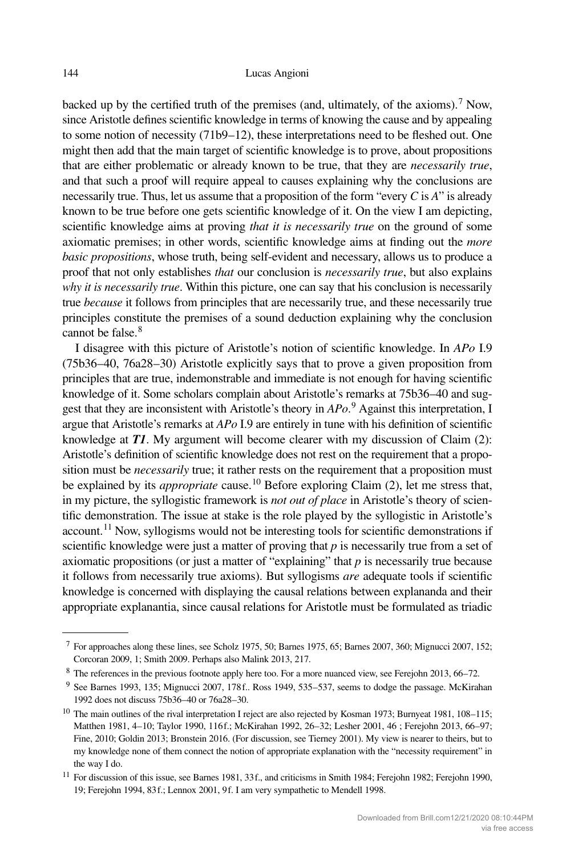backed up by the certified truth of the premises (and, ultimately, of the axioms).<sup>7</sup> Now, since Aristotle defines scientific knowledge in terms of knowing the cause and by appealing to some notion of necessity  $(71b9-12)$ , these interpretations need to be fleshed out. One might then add that the main target of scientific knowledge is to prove, about propositions that are either problematic or already known to be true, that they are *necessarily true*, and that such a proof will require appeal to causes explaining why the conclusions are necessarily true. Thus, let us assume that a proposition of the form "every  $C$  is  $A$ " is already known to be true before one gets scientific knowledge of it. On the view I am depicting, scientific knowledge aims at proving *that it is necessarily true* on the ground of some axiomatic premises; in other words, scientific knowledge aims at finding out the *more basic propositions*, whose truth, being self-evident and necessary, allows us to produce a proof that not only establishes *that* our conclusion is *necessarily true*, but also explains *why it is necessarily true*. Within this picture, one can say that his conclusion is necessarily true *because* it follows from principles that are necessarily true, and these necessarily true principles constitute the premises of a sound deduction explaining why the conclusion cannot be false.<sup>8</sup>

I disagree with this picture of Aristotle's notion of scientific knowledge. In *APo* I.9 (75b36–40, 76a28–30) Aristotle explicitly says that to prove a given proposition from principles that are true, indemonstrable and immediate is not enough for having scientific knowledge of it. Some scholars complain about Aristotle's remarks at 75b36–40 and suggest that they are inconsistent with Aristotle's theory in *APo*. <sup>9</sup> Against this interpretation, I argue that Aristotle's remarks at *APo* I.9 are entirely in tune with his definition of scientific knowledge at *T1*. My argument will become clearer with my discussion of Claim (2): Aristotle's definition of scientific knowledge does not rest on the requirement that a proposition must be *necessarily* true; it rather rests on the requirement that a proposition must be explained by its *appropriate* cause.<sup>10</sup> Before exploring Claim (2), let me stress that, in my picture, the syllogistic framework is *not out of place* in Aristotle's theory of scientific demonstration. The issue at stake is the role played by the syllogistic in Aristotle's account.<sup>11</sup> Now, syllogisms would not be interesting tools for scientific demonstrations if scientific knowledge were just a matter of proving that  $p$  is necessarily true from a set of axiomatic propositions (or just a matter of "explaining" that *p* is necessarily true because it follows from necessarily true axioms). But syllogisms *are* adequate tools if scientific knowledge is concerned with displaying the causal relations between explananda and their appropriate explanantia, since causal relations for Aristotle must be formulated as triadic

<sup>7</sup> For approaches along these lines, see Scholz 1975, 50; Barnes 1975, 65; Barnes 2007, 360; Mignucci 2007, 152; Corcoran 2009, 1; Smith 2009. Perhaps also Malink 2013, 217.

<sup>8</sup> The references in the previous footnote apply here too. For a more nuanced view, see Ferejohn 2013, 66–72.

<sup>9</sup> See Barnes 1993, 135; Mignucci 2007, 178f.. Ross 1949, 535–537, seems to dodge the passage. McKirahan 1992 does not discuss 75b36–40 or 76a28–30.

<sup>&</sup>lt;sup>10</sup> The main outlines of the rival interpretation I reject are also rejected by Kosman 1973; Burnyeat 1981, 108–115; Matthen 1981, 4-10; Taylor 1990, 116 f.; McKirahan 1992, 26-32; Lesher 2001, 46 ; Ferejohn 2013, 66-97; Fine, 2010; Goldin 2013; Bronstein 2016. (For discussion, see Tierney 2001). My view is nearer to theirs, but to my knowledge none of them connect the notion of appropriate explanation with the "necessity requirement" in the way I do.

<sup>&</sup>lt;sup>11</sup> For discussion of this issue, see Barnes 1981, 33f., and criticisms in Smith 1984; Ferejohn 1982; Ferejohn 1990, 19; Ferejohn 1994, 83f.; Lennox 2001, 9f. I am very sympathetic to Mendell 1998.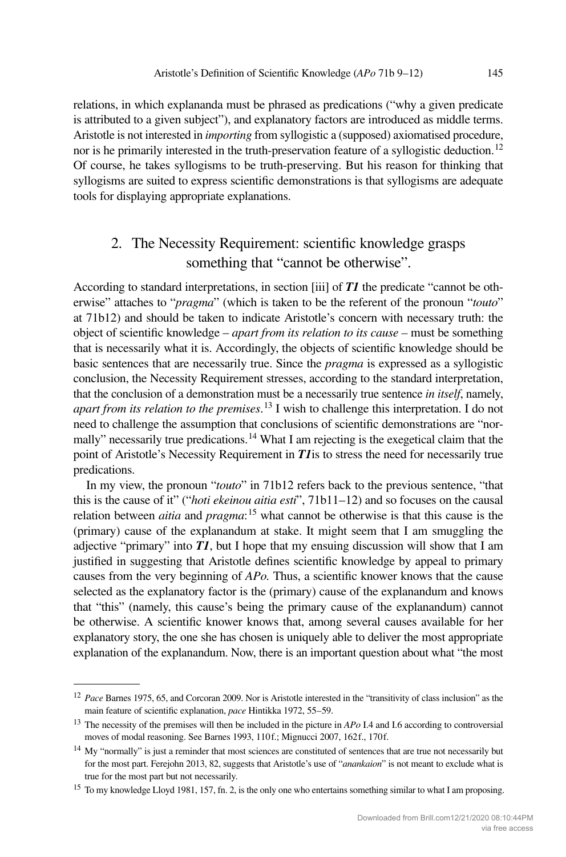relations, in which explananda must be phrased as predications ("why a given predicate is attributed to a given subject"), and explanatory factors are introduced as middle terms. Aristotle is not interested in *importing* from syllogistic a (supposed) axiomatised procedure, nor is he primarily interested in the truth-preservation feature of a syllogistic deduction.<sup>12</sup> Of course, he takes syllogisms to be truth-preserving. But his reason for thinking that syllogisms are suited to express scientific demonstrations is that syllogisms are adequate tools for displaying appropriate explanations.

# 2. The Necessity Requirement: scientific knowledge grasps something that "cannot be otherwise".

According to standard interpretations, in section [iii] of *T1* the predicate "cannot be otherwise" attaches to "*pragma*" (which is taken to be the referent of the pronoun "*touto*" at 71b12) and should be taken to indicate Aristotle's concern with necessary truth: the object of scientific knowledge – *apart from its relation to its cause* – must be something that is necessarily what it is. Accordingly, the objects of scientific knowledge should be basic sentences that are necessarily true. Since the *pragma* is expressed as a syllogistic conclusion, the Necessity Requirement stresses, according to the standard interpretation, that the conclusion of a demonstration must be a necessarily true sentence *in itself*, namely, *apart from its relation to the premises*. <sup>13</sup> I wish to challenge this interpretation. I do not need to challenge the assumption that conclusions of scientific demonstrations are "normally" necessarily true predications.<sup>14</sup> What I am rejecting is the exegetical claim that the point of Aristotle's Necessity Requirement in *T1*is to stress the need for necessarily true predications.

In my view, the pronoun "*touto*" in 71b12 refers back to the previous sentence, "that this is the cause of it" ("*hoti ekeinou aitia esti*", 71b11–12) and so focuses on the causal relation between *aitia* and *pragma*:<sup>15</sup> what cannot be otherwise is that this cause is the (primary) cause of the explanandum at stake. It might seem that I am smuggling the adjective "primary" into  $TI$ , but I hope that my ensuing discussion will show that I am justified in suggesting that Aristotle defines scientific knowledge by appeal to primary causes from the very beginning of *APo*. Thus, a scientific knower knows that the cause selected as the explanatory factor is the (primary) cause of the explanandum and knows that "this" (namely, this cause's being the primary cause of the explanandum) cannot be otherwise. A scientific knower knows that, among several causes available for her explanatory story, the one she has chosen is uniquely able to deliver the most appropriate explanation of the explanandum. Now, there is an important question about what "the most

<sup>12</sup> *Pace* Barnes 1975, 65, and Corcoran 2009. Nor is Aristotle interested in the "transitivity of class inclusion" as the main feature of scientific explanation, *pace* Hintikka 1972, 55-59.

<sup>13</sup> The necessity of the premises will then be included in the picture in *APo* I.4 and I.6 according to controversial moves of modal reasoning. See Barnes 1993, 110f.; Mignucci 2007, 162f., 170f.

<sup>&</sup>lt;sup>14</sup> My "normally" is just a reminder that most sciences are constituted of sentences that are true not necessarily but for the most part. Ferejohn 2013, 82, suggests that Aristotle's use of "*anankaion*" is not meant to exclude what is true for the most part but not necessarily.

<sup>&</sup>lt;sup>15</sup> To my knowledge Lloyd 1981, 157, fn. 2, is the only one who entertains something similar to what I am proposing.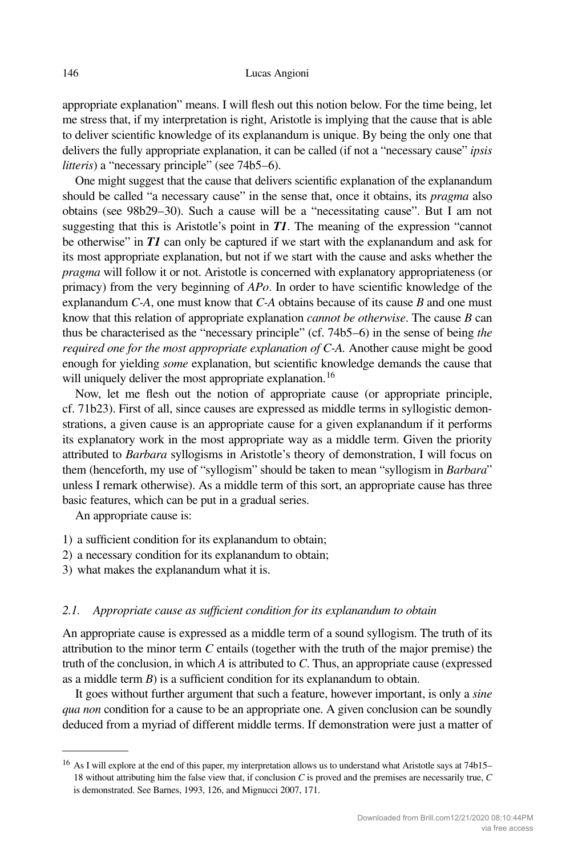appropriate explanation" means. I will flesh out this notion below. For the time being, let me stress that, if my interpretation is right, Aristotle is implying that the cause that is able to deliver scientific knowledge of its explanandum is unique. By being the only one that delivers the fully appropriate explanation, it can be called (if not a "necessary cause" *ipsis litteris*) a "necessary principle" (see 74b5–6).

One might suggest that the cause that delivers scientific explanation of the explanandum should be called "a necessary cause" in the sense that, once it obtains, its *pragma* also obtains (see 98b29–30). Such a cause will be a "necessitating cause". But I am not suggesting that this is Aristotle's point in *T1*. The meaning of the expression "cannot be otherwise" in *T1* can only be captured if we start with the explanandum and ask for its most appropriate explanation, but not if we start with the cause and asks whether the *pragma* will follow it or not. Aristotle is concerned with explanatory appropriateness (or primacy) from the very beginning of *APo*. In order to have scientific knowledge of the explanandum *C-A*, one must know that *C-A* obtains because of its cause *B* and one must know that this relation of appropriate explanation *cannot be otherwise*. The cause *B* can thus be characterised as the "necessary principle" (cf. 74b5–6) in the sense of being *the required one for the most appropriate explanation of C-A.* Another cause might be good enough for yielding *some* explanation, but scientific knowledge demands the cause that will uniquely deliver the most appropriate explanation.<sup>16</sup>

Now, let me flesh out the notion of appropriate cause (or appropriate principle, cf. 71b23). First of all, since causes are expressed as middle terms in syllogistic demonstrations, a given cause is an appropriate cause for a given explanandum if it performs its explanatory work in the most appropriate way as a middle term. Given the priority attributed to *Barbara* syllogisms in Aristotle's theory of demonstration, I will focus on them (henceforth, my use of "syllogism" should be taken to mean "syllogism in *Barbara*" unless I remark otherwise). As a middle term of this sort, an appropriate cause has three basic features, which can be put in a gradual series.

An appropriate cause is:

- 1) a sufficient condition for its explanandum to obtain:
- 2) a necessary condition for its explanandum to obtain;
- 3) what makes the explanandum what it is.

#### 2.1. Appropriate cause as sufficient condition for its explanandum to obtain

An appropriate cause is expressed as a middle term of a sound syllogism. The truth of its attribution to the minor term *C* entails (together with the truth of the major premise) the truth of the conclusion, in which *A* is attributed to *C*. Thus, an appropriate cause (expressed as a middle term  $B$ ) is a sufficient condition for its explanandum to obtain.

It goes without further argument that such a feature, however important, is only a *sine qua non* condition for a cause to be an appropriate one. A given conclusion can be soundly deduced from a myriad of different middle terms. If demonstration were just a matter of

<sup>&</sup>lt;sup>16</sup> As I will explore at the end of this paper, my interpretation allows us to understand what Aristotle says at 74b15– 18 without attributing him the false view that, if conclusion *C* is proved and the premises are necessarily true, *C* is demonstrated. See Barnes, 1993, 126, and Mignucci 2007, 171.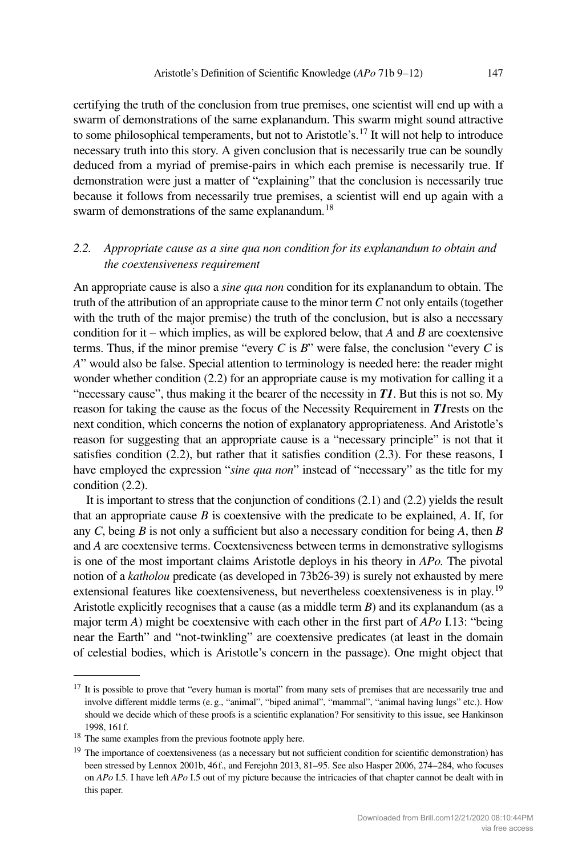certifying the truth of the conclusion from true premises, one scientist will end up with a swarm of demonstrations of the same explanandum. This swarm might sound attractive to some philosophical temperaments, but not to Aristotle's.<sup>17</sup> It will not help to introduce necessary truth into this story. A given conclusion that is necessarily true can be soundly deduced from a myriad of premise-pairs in which each premise is necessarily true. If demonstration were just a matter of "explaining" that the conclusion is necessarily true because it follows from necessarily true premises, a scientist will end up again with a swarm of demonstrations of the same explanandum.<sup>18</sup>

# *2.2. Appropriate cause as a sine qua non condition for its explanandum to obtain and the coextensiveness requirement*

An appropriate cause is also a *sine qua non* condition for its explanandum to obtain. The truth of the attribution of an appropriate cause to the minor term *C* not only entails (together with the truth of the major premise) the truth of the conclusion, but is also a necessary condition for it – which implies, as will be explored below, that *A* and *B* are coextensive terms. Thus, if the minor premise "every  $C$  is  $B$ " were false, the conclusion "every  $C$  is *A*" would also be false. Special attention to terminology is needed here: the reader might wonder whether condition (2.2) for an appropriate cause is my motivation for calling it a "necessary cause", thus making it the bearer of the necessity in *T1*. But this is not so. My reason for taking the cause as the focus of the Necessity Requirement in *T1*rests on the next condition, which concerns the notion of explanatory appropriateness. And Aristotle's reason for suggesting that an appropriate cause is a "necessary principle" is not that it satisfies condition  $(2.2)$ , but rather that it satisfies condition  $(2.3)$ . For these reasons, I have employed the expression "*sine qua non*" instead of "necessary" as the title for my condition (2.2).

It is important to stress that the conjunction of conditions (2.1) and (2.2) yields the result that an appropriate cause *B* is coextensive with the predicate to be explained, *A*. If, for any  $C$ , being  $B$  is not only a sufficient but also a necessary condition for being  $A$ , then  $B$ and *A* are coextensive terms. Coextensiveness between terms in demonstrative syllogisms is one of the most important claims Aristotle deploys in his theory in *APo.* The pivotal notion of a *katholou* predicate (as developed in 73b26-39) is surely not exhausted by mere extensional features like coextensiveness, but nevertheless coextensiveness is in play.<sup>19</sup> Aristotle explicitly recognises that a cause (as a middle term *B*) and its explanandum (as a major term  $\vec{A}$ ) might be coextensive with each other in the first part of  $\vec{A}Po$  I.13: "being near the Earth" and "not-twinkling" are coextensive predicates (at least in the domain of celestial bodies, which is Aristotle's concern in the passage). One might object that

<sup>&</sup>lt;sup>17</sup> It is possible to prove that "every human is mortal" from many sets of premises that are necessarily true and involve different middle terms (e. g., "animal", "biped animal", "mammal", "animal having lungs" etc.). How should we decide which of these proofs is a scientific explanation? For sensitivity to this issue, see Hankinson 1998, 161f.

<sup>&</sup>lt;sup>18</sup> The same examples from the previous footnote apply here.

<sup>&</sup>lt;sup>19</sup> The importance of coextensiveness (as a necessary but not sufficient condition for scientific demonstration) has been stressed by Lennox 2001b, 46f., and Ferejohn 2013, 81–95. See also Hasper 2006, 274–284, who focuses on *APo* I.5. I have left *APo* I.5 out of my picture because the intricacies of that chapter cannot be dealt with in this paper.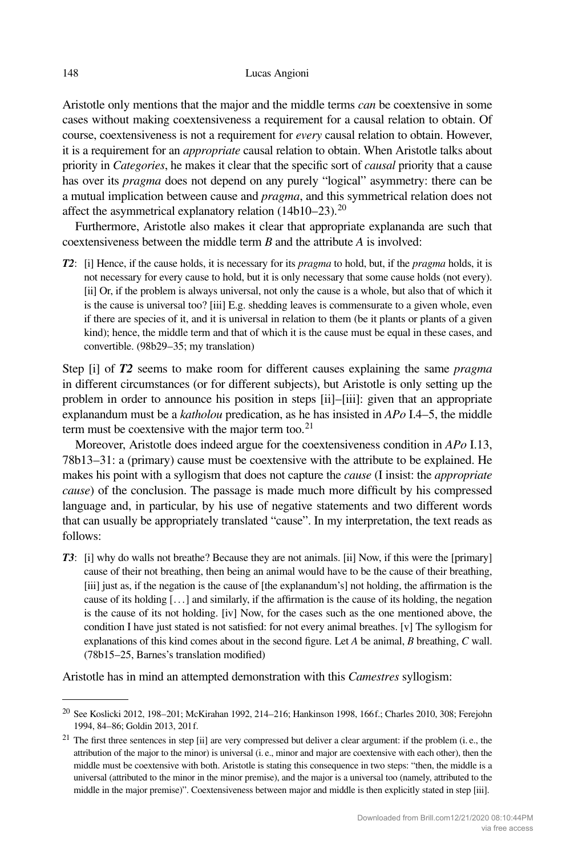Aristotle only mentions that the major and the middle terms *can* be coextensive in some cases without making coextensiveness a requirement for a causal relation to obtain. Of course, coextensiveness is not a requirement for *every* causal relation to obtain. However, it is a requirement for an *appropriate* causal relation to obtain. When Aristotle talks about priority in *Categories*, he makes it clear that the specific sort of *causal* priority that a cause has over its *pragma* does not depend on any purely "logical" asymmetry: there can be a mutual implication between cause and *pragma*, and this symmetrical relation does not affect the asymmetrical explanatory relation  $(14b10-23).^{20}$ 

Furthermore, Aristotle also makes it clear that appropriate explananda are such that coextensiveness between the middle term *B* and the attribute *A* is involved:

*T2*: [i] Hence, if the cause holds, it is necessary for its *pragma* to hold, but, if the *pragma* holds, it is not necessary for every cause to hold, but it is only necessary that some cause holds (not every). [ii] Or, if the problem is always universal, not only the cause is a whole, but also that of which it is the cause is universal too? [iii] E.g. shedding leaves is commensurate to a given whole, even if there are species of it, and it is universal in relation to them (be it plants or plants of a given kind); hence, the middle term and that of which it is the cause must be equal in these cases, and convertible. (98b29–35; my translation)

Step [i] of *T2* seems to make room for different causes explaining the same *pragma* in different circumstances (or for different subjects), but Aristotle is only setting up the problem in order to announce his position in steps [ii]–[iii]: given that an appropriate explanandum must be a *katholou* predication, as he has insisted in *APo* I.4–5, the middle term must be coextensive with the major term too. $^{21}$ 

Moreover, Aristotle does indeed argue for the coextensiveness condition in *APo* I.13, 78b13–31: a (primary) cause must be coextensive with the attribute to be explained. He makes his point with a syllogism that does not capture the *cause* (I insist: the *appropriate* cause) of the conclusion. The passage is made much more difficult by his compressed language and, in particular, by his use of negative statements and two different words that can usually be appropriately translated "cause". In my interpretation, the text reads as follows:

*T3*: [i] why do walls not breathe? Because they are not animals. [ii] Now, if this were the [primary] cause of their not breathing, then being an animal would have to be the cause of their breathing, liil just as, if the negation is the cause of lthe explanandum's not holding, the affirmation is the cause of its holding  $[\dots]$  and similarly, if the affirmation is the cause of its holding, the negation is the cause of its not holding. [iv] Now, for the cases such as the one mentioned above, the condition I have just stated is not satisfied: for not every animal breathes. [v] The syllogism for explanations of this kind comes about in the second figure. Let *A* be animal, *B* breathing, *C* wall.  $(78b15-25,$  Barnes's translation modified)

Aristotle has in mind an attempted demonstration with this *Camestres* syllogism:

<sup>&</sup>lt;sup>20</sup> See Koslicki 2012, 198-201; McKirahan 1992, 214-216; Hankinson 1998, 166f.; Charles 2010, 308; Ferejohn 1994, 84–86; Goldin 2013, 201 f.

<sup>&</sup>lt;sup>21</sup> The first three sentences in step [ii] are very compressed but deliver a clear argument: if the problem (i.e., the attribution of the major to the minor) is universal (i. e., minor and major are coextensive with each other), then the middle must be coextensive with both. Aristotle is stating this consequence in two steps: "then, the middle is a universal (attributed to the minor in the minor premise), and the major is a universal too (namely, attributed to the middle in the major premise)". Coextensiveness between major and middle is then explicitly stated in step [iii].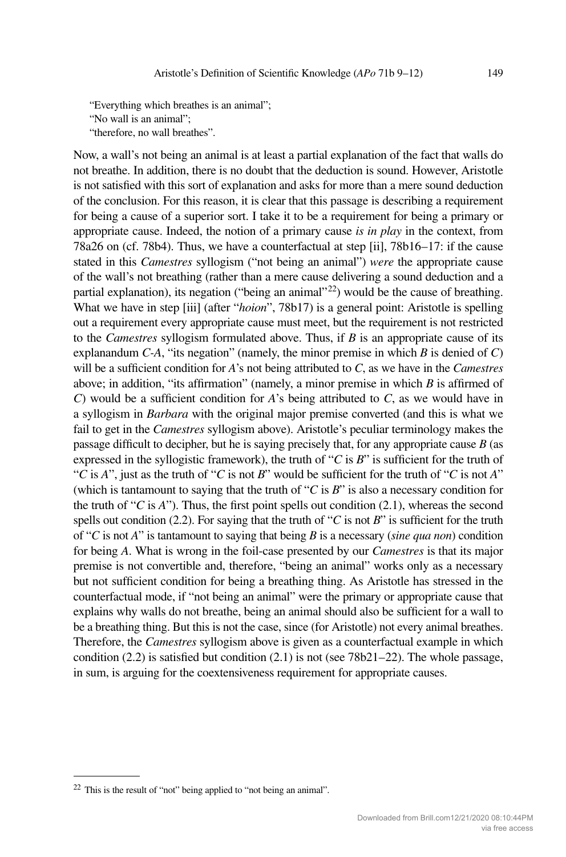"Everything which breathes is an animal"; "No wall is an animal"; "therefore, no wall breathes".

Now, a wall's not being an animal is at least a partial explanation of the fact that walls do not breathe. In addition, there is no doubt that the deduction is sound. However, Aristotle is not satisfied with this sort of explanation and asks for more than a mere sound deduction of the conclusion. For this reason, it is clear that this passage is describing a requirement for being a cause of a superior sort. I take it to be a requirement for being a primary or appropriate cause. Indeed, the notion of a primary cause *is in play* in the context, from 78a26 on (cf. 78b4). Thus, we have a counterfactual at step [ii], 78b16–17: if the cause stated in this *Camestres* syllogism ("not being an animal") *were* the appropriate cause of the wall's not breathing (rather than a mere cause delivering a sound deduction and a partial explanation), its negation ("being an animal"<sup>22</sup>) would be the cause of breathing. What we have in step [iii] (after "*hoion*", 78b17) is a general point: Aristotle is spelling out a requirement every appropriate cause must meet, but the requirement is not restricted to the *Camestres* syllogism formulated above. Thus, if *B* is an appropriate cause of its explanandum  $C-A$ , "its negation" (namely, the minor premise in which  $B$  is denied of  $C$ ) will be a sufficient condition for *A*'s not being attributed to *C*, as we have in the *Camestres* above; in addition, "its affirmation" (namely, a minor premise in which  $B$  is affirmed of  $C$ ) would be a sufficient condition for  $A$ 's being attributed to  $C$ , as we would have in a syllogism in *Barbara* with the original major premise converted (and this is what we fail to get in the *Camestres* syllogism above). Aristotle's peculiar terminology makes the passage difficult to decipher, but he is saying precisely that, for any appropriate cause *B* (as expressed in the syllogistic framework), the truth of " $C$  is  $B$ " is sufficient for the truth of " $C$  is  $A$ ", just as the truth of " $C$  is not  $B$ " would be sufficient for the truth of " $C$  is not  $A$ " (which is tantamount to saying that the truth of "*C* is *B*" is also a necessary condition for the truth of " $C$  is  $A$ "). Thus, the first point spells out condition (2.1), whereas the second spells out condition  $(2.2)$ . For saying that the truth of " $C$  is not  $B$ " is sufficient for the truth of "*C* is not *A*" is tantamount to saying that being *B* is a necessary (*sine qua non*) condition for being *A*. What is wrong in the foil-case presented by our *Camestres* is that its major premise is not convertible and, therefore, "being an animal" works only as a necessary -<br>but not sufficient condition for being a breathing thing. As Aristotle has stressed in the counterfactual mode, if "not being an animal" were the primary or appropriate cause that explains why walls do not breathe, being an animal should also be sufficient for a wall to be a breathing thing. But this is not the case, since (for Aristotle) not every animal breathes. Therefore, the *Camestres* syllogism above is given as a counterfactual example in which condition  $(2.2)$  is satisfied but condition  $(2.1)$  is not (see 78b21–22). The whole passage, in sum, is arguing for the coextensiveness requirement for appropriate causes.

<sup>22</sup> This is the result of "not" being applied to "not being an animal".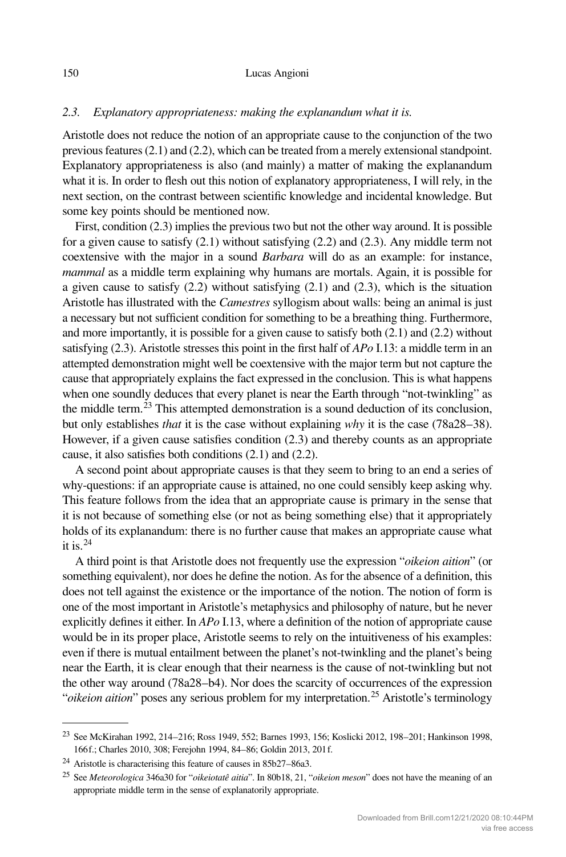#### *2.3. Explanatory appropriateness: making the explanandum what it is.*

Aristotle does not reduce the notion of an appropriate cause to the conjunction of the two previous features (2.1) and (2.2), which can be treated from a merely extensional standpoint. Explanatory appropriateness is also (and mainly) a matter of making the explanandum what it is. In order to flesh out this notion of explanatory appropriateness, I will rely, in the next section, on the contrast between scientific knowledge and incidental knowledge. But some key points should be mentioned now.

First, condition (2.3) implies the previous two but not the other way around. It is possible for a given cause to satisfy (2.1) without satisfying (2.2) and (2.3). Any middle term not coextensive with the major in a sound *Barbara* will do as an example: for instance, *mammal* as a middle term explaining why humans are mortals. Again, it is possible for a given cause to satisfy (2.2) without satisfying (2.1) and (2.3), which is the situation Aristotle has illustrated with the *Camestres* syllogism about walls: being an animal is just a necessary but not sufficient condition for something to be a breathing thing. Furthermore, and more importantly, it is possible for a given cause to satisfy both (2.1) and (2.2) without satisfying (2.3). Aristotle stresses this point in the first half of *APo* I.13: a middle term in an attempted demonstration might well be coextensive with the major term but not capture the cause that appropriately explains the fact expressed in the conclusion. This is what happens when one soundly deduces that every planet is near the Earth through "not-twinkling" as the middle term.<sup>23</sup> This attempted demonstration is a sound deduction of its conclusion, but only establishes *that* it is the case without explaining *why* it is the case (78a28–38). However, if a given cause satisfies condition  $(2.3)$  and thereby counts as an appropriate cause, it also satisfies both conditions  $(2.1)$  and  $(2.2)$ .

A second point about appropriate causes is that they seem to bring to an end a series of why-questions: if an appropriate cause is attained, no one could sensibly keep asking why. This feature follows from the idea that an appropriate cause is primary in the sense that it is not because of something else (or not as being something else) that it appropriately holds of its explanandum: there is no further cause that makes an appropriate cause what it is.  $24$ 

A third point is that Aristotle does not frequently use the expression "*oikeion aition*" (or something equivalent), nor does he define the notion. As for the absence of a definition, this does not tell against the existence or the importance of the notion. The notion of form is one of the most important in Aristotle's metaphysics and philosophy of nature, but he never explicitly defines it either. In *APo* I.13, where a definition of the notion of appropriate cause would be in its proper place, Aristotle seems to rely on the intuitiveness of his examples: even if there is mutual entailment between the planet's not-twinkling and the planet's being near the Earth, it is clear enough that their nearness is the cause of not-twinkling but not the other way around (78a28–b4). Nor does the scarcity of occurrences of the expression "*oikeion aition*" poses any serious problem for my interpretation.<sup>25</sup> Aristotle's terminology

<sup>23</sup> See McKirahan 1992, 214–216; Ross 1949, 552; Barnes 1993, 156; Koslicki 2012, 198–201; Hankinson 1998, 166 f.; Charles 2010, 308; Ferejohn 1994, 84–86; Goldin 2013, 201 f.

<sup>24</sup> Aristotle is characterising this feature of causes in 85b27–86a3.

<sup>25</sup> See *Meteorologica* 346a30 for "*oikeiotatê aitia*". In 80b18, 21, "*oikeion meson*" does not have the meaning of an appropriate middle term in the sense of explanatorily appropriate.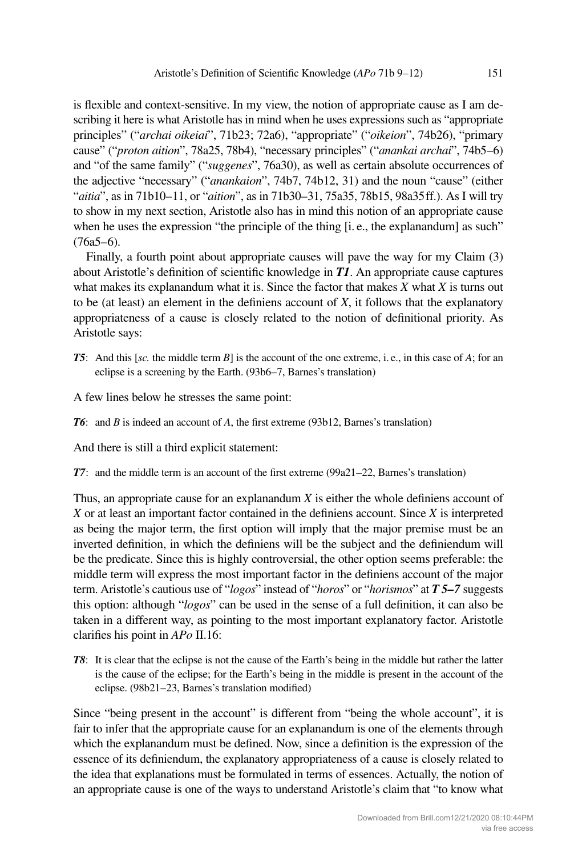is flexible and context-sensitive. In my view, the notion of appropriate cause as I am describing it here is what Aristotle has in mind when he uses expressions such as "appropriate principles" ("*archai oikeiai*", 71b23; 72a6), "appropriate" ("*oikeion*", 74b26), "primary cause" ("*proton aition*", 78a25, 78b4), "necessary principles" ("*anankai archai*", 74b5–6) and "of the same family" ("*suggenes*", 76a30), as well as certain absolute occurrences of the adjective "necessary" ("*anankaion*", 74b7, 74b12, 31) and the noun "cause" (either "*aitia*", as in 71b10–11, or "*aition*", as in 71b30–31, 75a35, 78b15, 98a35 ff.). As I will try to show in my next section, Aristotle also has in mind this notion of an appropriate cause when he uses the expression "the principle of the thing [i.e., the explanandum] as such" (76a5–6).

Finally, a fourth point about appropriate causes will pave the way for my Claim (3) about Aristotle's definition of scientific knowledge in *T1*. An appropriate cause captures what makes its explanandum what it is. Since the factor that makes *X* what *X* is turns out to be (at least) an element in the definiens account of  $X$ , it follows that the explanatory appropriateness of a cause is closely related to the notion of definitional priority. As Aristotle says:

*T5*: And this [*sc.* the middle term *B*] is the account of the one extreme, i. e., in this case of *A*; for an eclipse is a screening by the Earth. (93b6–7, Barnes's translation)

A few lines below he stresses the same point:

 $T6$ : and *B* is indeed an account of *A*, the first extreme (93b12, Barnes's translation)

And there is still a third explicit statement:

T7: and the middle term is an account of the first extreme (99a21–22, Barnes's translation)

Thus, an appropriate cause for an explanandum  $X$  is either the whole definiens account of  $X$  or at least an important factor contained in the definiens account. Since  $X$  is interpreted as being the major term, the first option will imply that the major premise must be an inverted definition, in which the definiens will be the subject and the definiendum will be the predicate. Since this is highly controversial, the other option seems preferable: the middle term will express the most important factor in the definiens account of the major term. Aristotle's cautious use of "*logos*" instead of "*horos*" or "*horismos*" at *T 5–7* suggests this option: although "*logos*" can be used in the sense of a full definition, it can also be taken in a different way, as pointing to the most important explanatory factor. Aristotle clarifies his point in *APo* II.16:

*T8*: It is clear that the eclipse is not the cause of the Earth's being in the middle but rather the latter is the cause of the eclipse; for the Earth's being in the middle is present in the account of the eclipse. (98b21–23, Barnes's translation modified)

Since "being present in the account" is different from "being the whole account", it is fair to infer that the appropriate cause for an explanandum is one of the elements through which the explanandum must be defined. Now, since a definition is the expression of the essence of its definiendum, the explanatory appropriateness of a cause is closely related to the idea that explanations must be formulated in terms of essences. Actually, the notion of an appropriate cause is one of the ways to understand Aristotle's claim that "to know what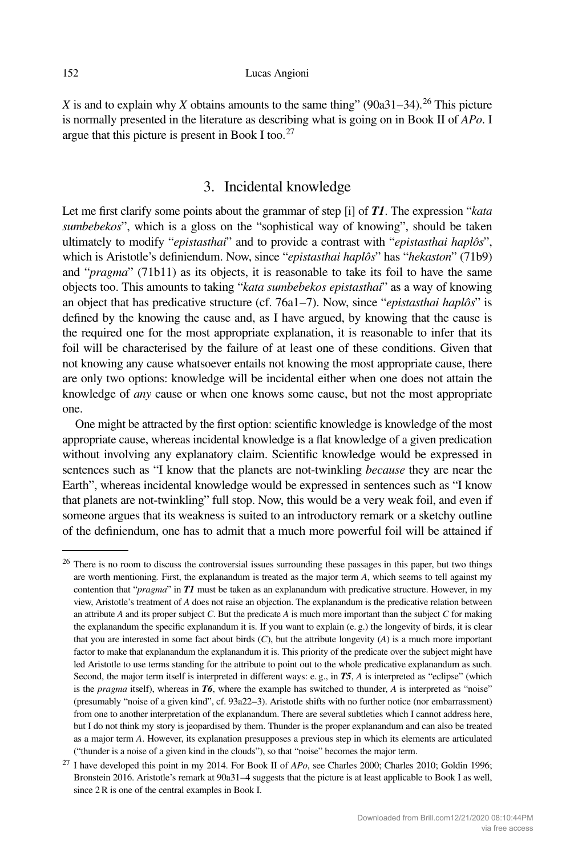*X* is and to explain why *X* obtains amounts to the same thing" (90a31–34).<sup>26</sup> This picture is normally presented in the literature as describing what is going on in Book II of *APo*. I argue that this picture is present in Book I too.<sup>27</sup>

# 3. Incidental knowledge

Let me first clarify some points about the grammar of step [i] of *T1*. The expression "*kata sumbebekos*", which is a gloss on the "sophistical way of knowing", should be taken ultimately to modify "*epistasthai*" and to provide a contrast with "*epistasthai haplôs*", which is Aristotle's definiendum. Now, since "epistasthai haplôs" has "hekaston" (71b9) and "*pragma*" (71b11) as its objects, it is reasonable to take its foil to have the same objects too. This amounts to taking "*kata sumbebekos epistasthai*" as a way of knowing an object that has predicative structure (cf. 76a1–7). Now, since "*epistasthai haplôs*" is defined by the knowing the cause and, as I have argued, by knowing that the cause is the required one for the most appropriate explanation, it is reasonable to infer that its foil will be characterised by the failure of at least one of these conditions. Given that not knowing any cause whatsoever entails not knowing the most appropriate cause, there are only two options: knowledge will be incidental either when one does not attain the knowledge of *any* cause or when one knows some cause, but not the most appropriate one.

One might be attracted by the first option: scientific knowledge is knowledge of the most appropriate cause, whereas incidental knowledge is a flat knowledge of a given predication without involving any explanatory claim. Scientific knowledge would be expressed in sentences such as "I know that the planets are not-twinkling *because* they are near the Earth", whereas incidental knowledge would be expressed in sentences such as "I know that planets are not-twinkling" full stop. Now, this would be a very weak foil, and even if someone argues that its weakness is suited to an introductory remark or a sketchy outline of the definiendum, one has to admit that a much more powerful foil will be attained if

<sup>&</sup>lt;sup>26</sup> There is no room to discuss the controversial issues surrounding these passages in this paper, but two things are worth mentioning*.* First, the explanandum is treated as the major term *A*, which seems to tell against my contention that "*pragma*" in *T1* must be taken as an explanandum with predicative structure. However, in my view, Aristotle's treatment of *A* does not raise an objection. The explanandum is the predicative relation between an attribute *A* and its proper subject *C*. But the predicate *A* is much more important than the subject *C* for making the explanandum the specific explanandum it is. If you want to explain (e.g.) the longevity of birds, it is clear that you are interested in some fact about birds (*C*), but the attribute longevity (*A*) is a much more important factor to make that explanandum the explanandum it is. This priority of the predicate over the subject might have led Aristotle to use terms standing for the attribute to point out to the whole predicative explanandum as such. Second, the major term itself is interpreted in different ways: e. g., in *T5*, *A* is interpreted as "eclipse" (which is the *pragma* itself), whereas in *T6*, where the example has switched to thunder, *A* is interpreted as "noise" (presumably "noise of a given kind", cf. 93a22–3). Aristotle shifts with no further notice (nor embarrassment) from one to another interpretation of the explanandum. There are several subtleties which I cannot address here, but I do not think my story is jeopardised by them. Thunder is the proper explanandum and can also be treated as a major term *A*. However, its explanation presupposes a previous step in which its elements are articulated ("thunder is a noise of a given kind in the clouds"), so that "noise" becomes the major term.

<sup>27</sup> I have developed this point in my 2014. For Book II of *APo*, see Charles 2000; Charles 2010; Goldin 1996; Bronstein 2016. Aristotle's remark at 90a31–4 suggests that the picture is at least applicable to Book I as well, since 2 R is one of the central examples in Book I.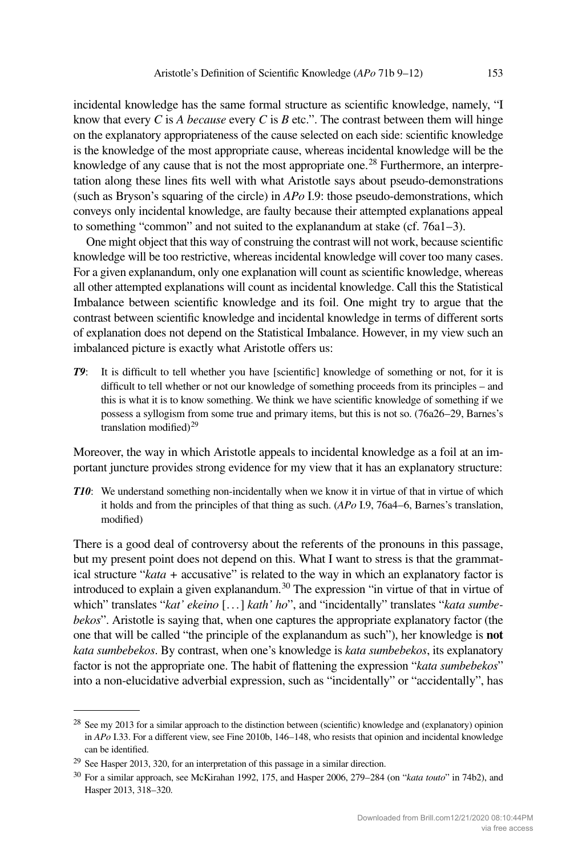incidental knowledge has the same formal structure as scientific knowledge, namely, "I know that every *C* is *A because* every *C* is *B* etc.". The contrast between them will hinge on the explanatory appropriateness of the cause selected on each side: scientific knowledge is the knowledge of the most appropriate cause, whereas incidental knowledge will be the knowledge of any cause that is not the most appropriate one.<sup>28</sup> Furthermore, an interpretation along these lines fits well with what Aristotle says about pseudo-demonstrations (such as Bryson's squaring of the circle) in *APo* I.9: those pseudo-demonstrations, which conveys only incidental knowledge, are faulty because their attempted explanations appeal to something "common" and not suited to the explanandum at stake (cf. 76a1–3).

One might object that this way of construing the contrast will not work, because scientific knowledge will be too restrictive, whereas incidental knowledge will cover too many cases. For a given explanandum, only one explanation will count as scientific knowledge, whereas all other attempted explanations will count as incidental knowledge. Call this the Statistical Imbalance between scientific knowledge and its foil. One might try to argue that the contrast between scientific knowledge and incidental knowledge in terms of different sorts of explanation does not depend on the Statistical Imbalance. However, in my view such an imbalanced picture is exactly what Aristotle offers us:

T9: It is difficult to tell whether you have [scientific] knowledge of something or not, for it is difficult to tell whether or not our knowledge of something proceeds from its principles – and this is what it is to know something. We think we have scientific knowledge of something if we possess a syllogism from some true and primary items, but this is not so. (76a26–29, Barnes's  $translation$  modified)<sup>29</sup>

Moreover, the way in which Aristotle appeals to incidental knowledge as a foil at an important juncture provides strong evidence for my view that it has an explanatory structure:

*T10*: We understand something non-incidentally when we know it in virtue of that in virtue of which it holds and from the principles of that thing as such. (*APo* I.9, 76a4–6, Barnes's translation, modified)

There is a good deal of controversy about the referents of the pronouns in this passage, but my present point does not depend on this. What I want to stress is that the grammatical structure "*kata +* accusative" is related to the way in which an explanatory factor is introduced to explain a given explanandum.<sup>30</sup> The expression "in virtue of that in virtue of which" translates "*kat' ekeino* [. . . ] *kath' ho*", and "incidentally" translates "*kata sumbebekos*". Aristotle is saying that, when one captures the appropriate explanatory factor (the one that will be called "the principle of the explanandum as such"), her knowledge is **not** *kata sumbebekos*. By contrast, when one's knowledge is *kata sumbebekos*, its explanatory factor is not the appropriate one. The habit of flattening the expression "*kata sumbebekos*" into a non-elucidative adverbial expression, such as "incidentally" or "accidentally", has

<sup>&</sup>lt;sup>28</sup> See my 2013 for a similar approach to the distinction between (scientific) knowledge and (explanatory) opinion in *APo* I.33. For a different view, see Fine 2010b, 146–148, who resists that opinion and incidental knowledge can be identified.

<sup>29</sup> See Hasper 2013, 320, for an interpretation of this passage in a similar direction.

<sup>30</sup> For a similar approach, see McKirahan 1992, 175, and Hasper 2006, 279–284 (on "*kata touto*" in 74b2), and Hasper 2013, 318–320.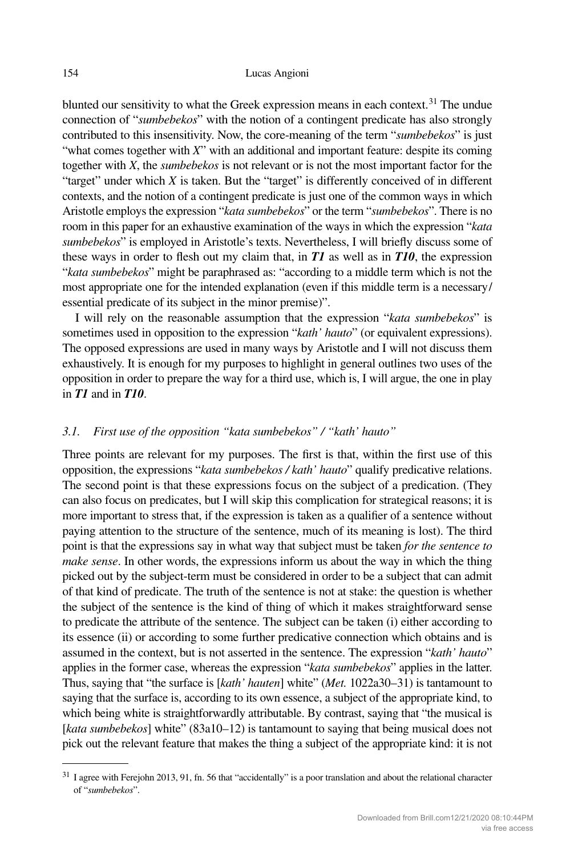blunted our sensitivity to what the Greek expression means in each context.<sup>31</sup> The undue connection of "*sumbebekos*" with the notion of a contingent predicate has also strongly contributed to this insensitivity. Now, the core-meaning of the term "*sumbebekos*" is just "what comes together with *X*" with an additional and important feature: despite its coming together with *X*, the *sumbebekos* is not relevant or is not the most important factor for the "target" under which *X* is taken. But the "target" is differently conceived of in different contexts, and the notion of a contingent predicate is just one of the common ways in which Aristotle employs the expression "*kata sumbebekos*" or the term "*sumbebekos*". There is no room in this paper for an exhaustive examination of the ways in which the expression "*kata* sumbebekos" is employed in Aristotle's texts. Nevertheless, I will briefly discuss some of these ways in order to flesh out my claim that, in  $TI$  as well as in  $TI0$ , the expression "*kata sumbebekos*" might be paraphrased as: "according to a middle term which is not the most appropriate one for the intended explanation (even if this middle term is a necessary/ essential predicate of its subject in the minor premise)".

I will rely on the reasonable assumption that the expression "*kata sumbebekos*" is sometimes used in opposition to the expression "*kath' hauto*" (or equivalent expressions). The opposed expressions are used in many ways by Aristotle and I will not discuss them exhaustively. It is enough for my purposes to highlight in general outlines two uses of the opposition in order to prepare the way for a third use, which is, I will argue, the one in play in *T1* and in *T10*.

# *3.1. First use of the opposition "kata sumbebekos" / "kath' hauto"*

Three points are relevant for my purposes. The first is that, within the first use of this opposition, the expressions "*kata sumbebekos / kath' hauto*" qualify predicative relations. The second point is that these expressions focus on the subject of a predication. (They can also focus on predicates, but I will skip this complication for strategical reasons; it is more important to stress that, if the expression is taken as a qualifier of a sentence without paying attention to the structure of the sentence, much of its meaning is lost). The third point is that the expressions say in what way that subject must be taken *for the sentence to make sense*. In other words, the expressions inform us about the way in which the thing picked out by the subject-term must be considered in order to be a subject that can admit of that kind of predicate. The truth of the sentence is not at stake: the question is whether the subject of the sentence is the kind of thing of which it makes straightforward sense to predicate the attribute of the sentence. The subject can be taken (i) either according to its essence (ii) or according to some further predicative connection which obtains and is assumed in the context, but is not asserted in the sentence. The expression "*kath' hauto*" applies in the former case, whereas the expression "*kata sumbebekos*" applies in the latter. Thus, saying that "the surface is [*kath' hauten*] white" (*Met.* 1022a30–31) is tantamount to saying that the surface is, according to its own essence, a subject of the appropriate kind, to which being white is straightforwardly attributable. By contrast, saying that "the musical is [kata sumbebekos] white" (83a10–12) is tantamount to saying that being musical does not pick out the relevant feature that makes the thing a subject of the appropriate kind: it is not

<sup>&</sup>lt;sup>31</sup> I agree with Ferejohn 2013, 91, fn. 56 that "accidentally" is a poor translation and about the relational character of "*sumbebekos*".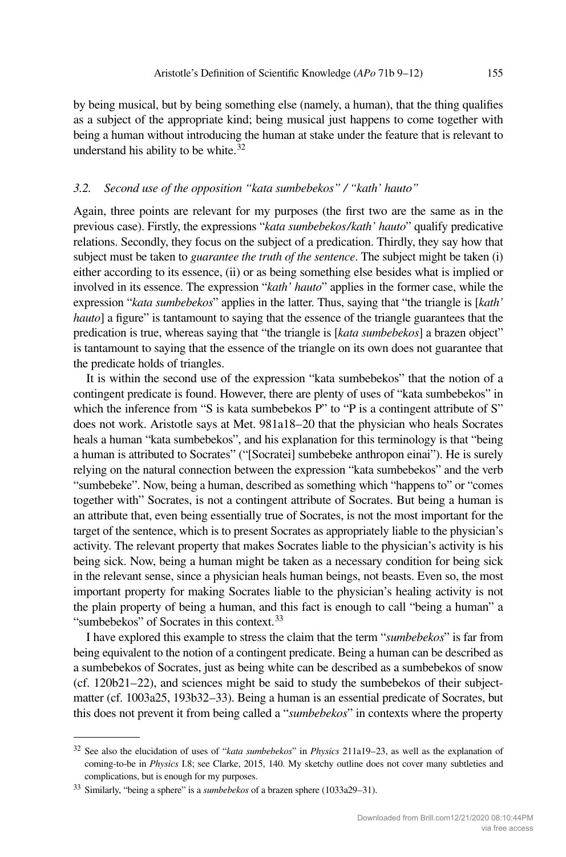by being musical, but by being something else (namely, a human), that the thing qualifies as a subject of the appropriate kind; being musical just happens to come together with being a human without introducing the human at stake under the feature that is relevant to understand his ability to be white. $32$ 

#### *3.2. Second use of the opposition "kata sumbebekos" / "kath' hauto"*

Again, three points are relevant for my purposes (the first two are the same as in the previous case). Firstly, the expressions "*kata sumbebekos/kath' hauto*" qualify predicative relations. Secondly, they focus on the subject of a predication. Thirdly, they say how that subject must be taken to *guarantee the truth of the sentence*. The subject might be taken (i) either according to its essence, (ii) or as being something else besides what is implied or involved in its essence. The expression "*kath' hauto*" applies in the former case, while the expression "*kata sumbebekos*" applies in the latter. Thus, saying that "the triangle is [*kath'* hauto] a figure" is tantamount to saying that the essence of the triangle guarantees that the predication is true, whereas saying that "the triangle is [*kata sumbebekos*] a brazen object" is tantamount to saying that the essence of the triangle on its own does not guarantee that the predicate holds of triangles.

It is within the second use of the expression "kata sumbebekos" that the notion of a contingent predicate is found. However, there are plenty of uses of "kata sumbebekos" in which the inference from "S is kata sumbebekos P" to "P is a contingent attribute of S" does not work. Aristotle says at Met. 981a18–20 that the physician who heals Socrates heals a human "kata sumbebekos", and his explanation for this terminology is that "being a human is attributed to Socrates" ("[Socratei] sumbebeke anthropon einai"). He is surely relying on the natural connection between the expression "kata sumbebekos" and the verb "sumbebeke". Now, being a human, described as something which "happens to" or "comes together with" Socrates, is not a contingent attribute of Socrates. But being a human is an attribute that, even being essentially true of Socrates, is not the most important for the target of the sentence, which is to present Socrates as appropriately liable to the physician's activity. The relevant property that makes Socrates liable to the physician's activity is his being sick. Now, being a human might be taken as a necessary condition for being sick in the relevant sense, since a physician heals human beings, not beasts. Even so, the most important property for making Socrates liable to the physician's healing activity is not the plain property of being a human, and this fact is enough to call "being a human" a "sumbebekos" of Socrates in this context.<sup>33</sup>

I have explored this example to stress the claim that the term "*sumbebekos*" is far from being equivalent to the notion of a contingent predicate. Being a human can be described as a sumbebekos of Socrates, just as being white can be described as a sumbebekos of snow (cf. 120b21–22), and sciences might be said to study the sumbebekos of their subjectmatter (cf. 1003a25, 193b32–33). Being a human is an essential predicate of Socrates, but this does not prevent it from being called a "*sumbebekos*" in contexts where the property

<sup>32</sup> See also the elucidation of uses of "*kata sumbebekos*" in *Physics* 211a19–23, as well as the explanation of coming-to-be in *Physics* I.8; see Clarke, 2015, 140. My sketchy outline does not cover many subtleties and complications, but is enough for my purposes.

<sup>33</sup> Similarly, "being a sphere" is a *sumbebekos* of a brazen sphere (1033a29–31).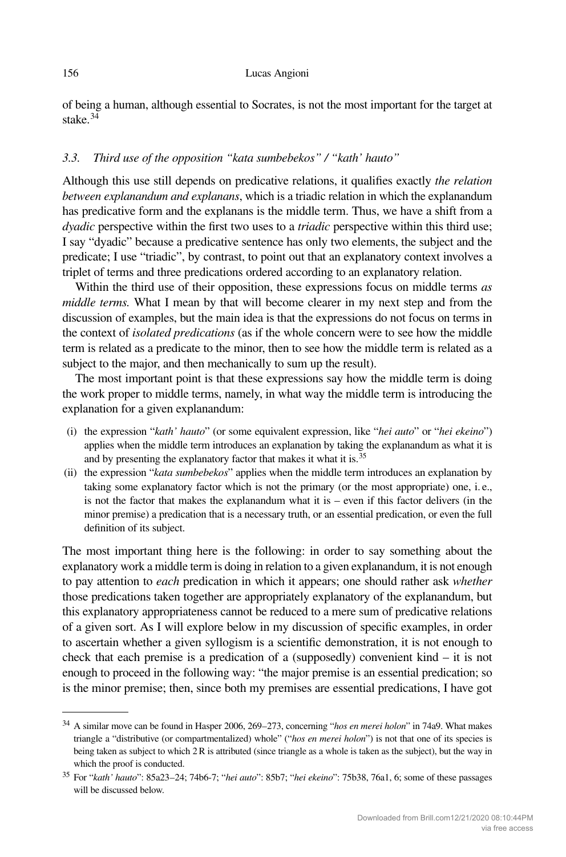of being a human, although essential to Socrates, is not the most important for the target at stake.<sup>34</sup>

#### *3.3. Third use of the opposition "kata sumbebekos" / "kath' hauto"*

Although this use still depends on predicative relations, it qualifies exactly *the relation between explanandum and explanans*, which is a triadic relation in which the explanandum has predicative form and the explanans is the middle term. Thus, we have a shift from a dyadic perspective within the first two uses to a *triadic* perspective within this third use; I say "dyadic" because a predicative sentence has only two elements, the subject and the predicate; I use "triadic", by contrast, to point out that an explanatory context involves a triplet of terms and three predications ordered according to an explanatory relation.

Within the third use of their opposition, these expressions focus on middle terms *as middle terms.* What I mean by that will become clearer in my next step and from the discussion of examples, but the main idea is that the expressions do not focus on terms in the context of *isolated predications* (as if the whole concern were to see how the middle term is related as a predicate to the minor, then to see how the middle term is related as a subject to the major, and then mechanically to sum up the result).

The most important point is that these expressions say how the middle term is doing the work proper to middle terms, namely, in what way the middle term is introducing the explanation for a given explanandum:

- (i) the expression "*kath' hauto*" (or some equivalent expression, like "*hei auto*" or "*hei ekeino*") applies when the middle term introduces an explanation by taking the explanandum as what it is and by presenting the explanatory factor that makes it what it is.<sup>35</sup>
- (ii) the expression "*kata sumbebekos*" applies when the middle term introduces an explanation by taking some explanatory factor which is not the primary (or the most appropriate) one, i. e., is not the factor that makes the explanandum what it is  $-$  even if this factor delivers (in the minor premise) a predication that is a necessary truth, or an essential predication, or even the full definition of its subject.

The most important thing here is the following: in order to say something about the explanatory work a middle term is doing in relation to a given explanandum, it is not enough to pay attention to *each* predication in which it appears; one should rather ask *whether* those predications taken together are appropriately explanatory of the explanandum, but this explanatory appropriateness cannot be reduced to a mere sum of predicative relations of a given sort. As I will explore below in my discussion of specific examples, in order to ascertain whether a given syllogism is a scientific demonstration, it is not enough to check that each premise is a predication of a (supposedly) convenient kind – it is not enough to proceed in the following way: "the major premise is an essential predication; so is the minor premise; then, since both my premises are essential predications, I have got

<sup>34</sup> A similar move can be found in Hasper 2006, 269–273, concerning "*hos en merei holon*" in 74a9. What makes triangle a "distributive (or compartmentalized) whole" ("*hos en merei holon*") is not that one of its species is being taken as subject to which 2 R is attributed (since triangle as a whole is taken as the subject), but the way in which the proof is conducted.

<sup>35</sup> For "*kath' hauto*": 85a23–24; 74b6-7; "*hei auto*": 85b7; "*hei ekeino*": 75b38, 76a1, 6; some of these passages will be discussed below.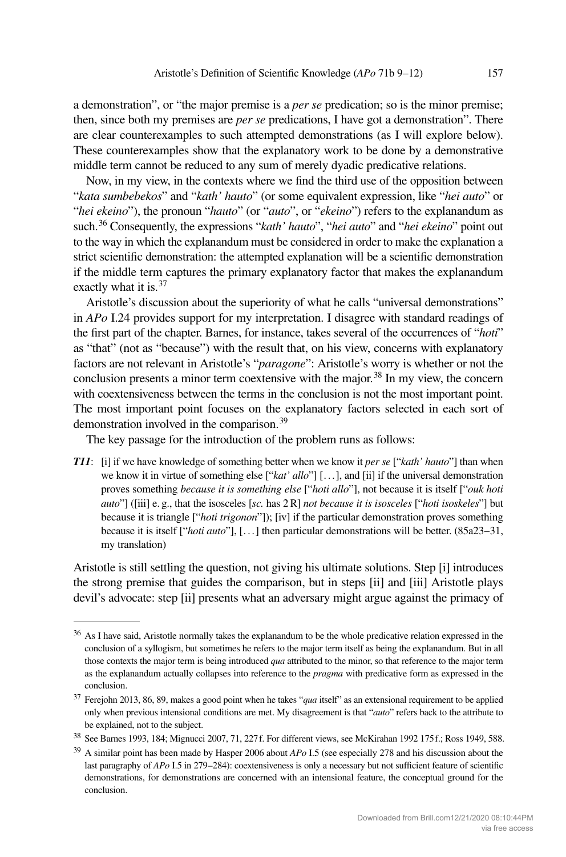a demonstration", or "the major premise is a *per se* predication; so is the minor premise; then, since both my premises are *per se* predications, I have got a demonstration". There are clear counterexamples to such attempted demonstrations (as I will explore below). These counterexamples show that the explanatory work to be done by a demonstrative middle term cannot be reduced to any sum of merely dyadic predicative relations.

Now, in my view, in the contexts where we find the third use of the opposition between "*kata sumbebekos*" and "*kath' hauto*" (or some equivalent expression, like "*hei auto*" or "*hei ekeino*"), the pronoun "*hauto*" (or "*auto*", or "*ekeino*") refers to the explanandum as such.<sup>36</sup> Consequently, the expressions "*kath' hauto*", "*hei auto*" and "*hei ekeino*" point out to the way in which the explanandum must be considered in order to make the explanation a strict scientific demonstration: the attempted explanation will be a scientific demonstration if the middle term captures the primary explanatory factor that makes the explanandum exactly what it is.<sup>37</sup>

Aristotle's discussion about the superiority of what he calls "universal demonstrations" in *APo* I.24 provides support for my interpretation. I disagree with standard readings of the first part of the chapter. Barnes, for instance, takes several of the occurrences of "hoti" as "that" (not as "because") with the result that, on his view, concerns with explanatory factors are not relevant in Aristotle's "*paragone*": Aristotle's worry is whether or not the conclusion presents a minor term coextensive with the major.<sup>38</sup> In my view, the concern with coextensiveness between the terms in the conclusion is not the most important point. The most important point focuses on the explanatory factors selected in each sort of demonstration involved in the comparison.<sup>39</sup>

The key passage for the introduction of the problem runs as follows:

*T11*: [i] if we have knowledge of something better when we know it *per se* ["*kath' hauto*"] than when we know it in virtue of something else ["*kat' allo*"] [...], and [ii] if the universal demonstration proves something *because it is something else* ["*hoti allo*"], not because it is itself ["*ouk hoti auto*"] ([iii] e. g., that the isosceles [*sc.* has 2 R] *not because it is isosceles* ["*hoti isoskeles*"] but because it is triangle ["*hoti trigonon*"]); [iv] if the particular demonstration proves something because it is itself ["*hoti auto*"], [. . . ] then particular demonstrations will be better. (85a23–31, my translation)

Aristotle is still settling the question, not giving his ultimate solutions. Step [i] introduces the strong premise that guides the comparison, but in steps [ii] and [iii] Aristotle plays devil's advocate: step [ii] presents what an adversary might argue against the primacy of

<sup>&</sup>lt;sup>36</sup> As I have said, Aristotle normally takes the explanandum to be the whole predicative relation expressed in the conclusion of a syllogism, but sometimes he refers to the major term itself as being the explanandum. But in all those contexts the major term is being introduced *qua* attributed to the minor, so that reference to the major term as the explanandum actually collapses into reference to the *pragma* with predicative form as expressed in the conclusion.

<sup>37</sup> Ferejohn 2013, 86, 89, makes a good point when he takes "*qua* itself" as an extensional requirement to be applied only when previous intensional conditions are met. My disagreement is that "*auto*" refers back to the attribute to be explained, not to the subject.

<sup>&</sup>lt;sup>38</sup> See Barnes 1993, 184; Mignucci 2007, 71, 227 f. For different views, see McKirahan 1992 175 f.; Ross 1949, 588.

<sup>39</sup> A similar point has been made by Hasper 2006 about *APo* I.5 (see especially 278 and his discussion about the last paragraphy of *APo* I.5 in 279–284): coextensiveness is only a necessary but not sufficient feature of scientific demonstrations, for demonstrations are concerned with an intensional feature, the conceptual ground for the conclusion.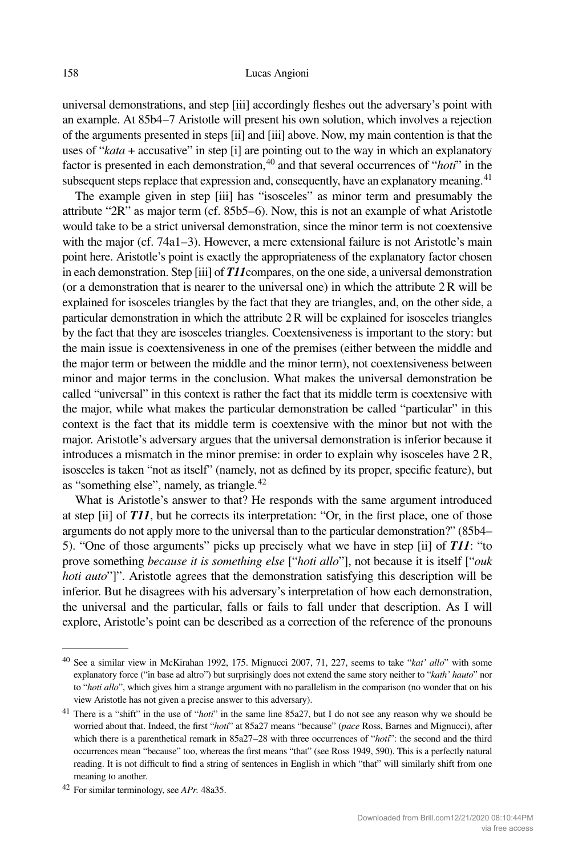universal demonstrations, and step [iii] accordingly fleshes out the adversary's point with an example. At 85b4–7 Aristotle will present his own solution, which involves a rejection of the arguments presented in steps [ii] and [iii] above. Now, my main contention is that the uses of "*kata* + accusative" in step [i] are pointing out to the way in which an explanatory factor is presented in each demonstration,<sup>40</sup> and that several occurrences of "*hoti*" in the subsequent steps replace that expression and, consequently, have an explanatory meaning.<sup>41</sup>

The example given in step [iii] has "isosceles" as minor term and presumably the attribute "2R" as major term (cf. 85b5–6). Now, this is not an example of what Aristotle would take to be a strict universal demonstration, since the minor term is not coextensive with the major (cf. 74a1–3). However, a mere extensional failure is not Aristotle's main point here. Aristotle's point is exactly the appropriateness of the explanatory factor chosen in each demonstration. Step [iii] of *T11*compares, on the one side, a universal demonstration (or a demonstration that is nearer to the universal one) in which the attribute 2 R will be explained for isosceles triangles by the fact that they are triangles, and, on the other side, a particular demonstration in which the attribute 2 R will be explained for isosceles triangles by the fact that they are isosceles triangles. Coextensiveness is important to the story: but the main issue is coextensiveness in one of the premises (either between the middle and the major term or between the middle and the minor term), not coextensiveness between minor and major terms in the conclusion. What makes the universal demonstration be called "universal" in this context is rather the fact that its middle term is coextensive with the major, while what makes the particular demonstration be called "particular" in this context is the fact that its middle term is coextensive with the minor but not with the major. Aristotle's adversary argues that the universal demonstration is inferior because it introduces a mismatch in the minor premise: in order to explain why isosceles have 2 R, isosceles is taken "not as itself" (namely, not as defined by its proper, specific feature), but as "something else", namely, as triangle.<sup>42</sup>

What is Aristotle's answer to that? He responds with the same argument introduced at step [ii] of **T11**, but he corrects its interpretation: "Or, in the first place, one of those arguments do not apply more to the universal than to the particular demonstration?" (85b4– 5). "One of those arguments" picks up precisely what we have in step [ii] of *T11*: "to prove something *because it is something else* ["*hoti allo*"], not because it is itself ["*ouk hoti auto*"]". Aristotle agrees that the demonstration satisfying this description will be inferior. But he disagrees with his adversary's interpretation of how each demonstration, the universal and the particular, falls or fails to fall under that description. As I will explore, Aristotle's point can be described as a correction of the reference of the pronouns

<sup>40</sup> See a similar view in McKirahan 1992, 175. Mignucci 2007, 71, 227, seems to take "*kat' allo*" with some explanatory force ("in base ad altro") but surprisingly does not extend the same story neither to "*kath' hauto*" nor to "*hoti allo*", which gives him a strange argument with no parallelism in the comparison (no wonder that on his view Aristotle has not given a precise answer to this adversary).

<sup>41</sup> There is a "shift" in the use of "*hoti*" in the same line 85a27, but I do not see any reason why we should be worried about that. Indeed, the first "*hoti*" at 85a27 means "because" (*pace* Ross, Barnes and Mignucci), after which there is a parenthetical remark in  $85a27-28$  with three occurrences of "*hoti*": the second and the third occurrences mean "because" too, whereas the first means "that" (see Ross 1949, 590). This is a perfectly natural reading. It is not difficult to find a string of sentences in English in which "that" will similarly shift from one meaning to another.

<sup>42</sup> For similar terminology, see *APr.* 48a35.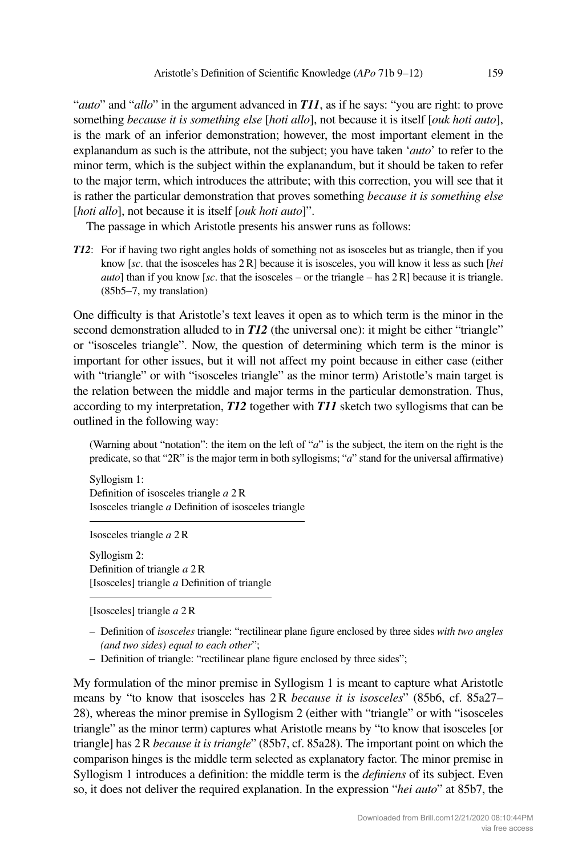"*auto*" and "*allo*" in the argument advanced in **T11**, as if he says: "you are right: to prove something *because it is something else* [*hoti allo*], not because it is itself [*ouk hoti auto*], is the mark of an inferior demonstration; however, the most important element in the explanandum as such is the attribute, not the subject; you have taken '*auto*' to refer to the minor term, which is the subject within the explanandum, but it should be taken to refer to the major term, which introduces the attribute; with this correction, you will see that it is rather the particular demonstration that proves something *because it is something else* [*hoti allo*], not because it is itself [*ouk hoti auto*]".

The passage in which Aristotle presents his answer runs as follows:

*T12*: For if having two right angles holds of something not as isosceles but as triangle, then if you know [*sc*. that the isosceles has 2 R] because it is isosceles, you will know it less as such [*hei auto*] than if you know [*sc*. that the isosceles – or the triangle – has 2 R] because it is triangle. (85b5–7, my translation)

One difficulty is that Aristotle's text leaves it open as to which term is the minor in the second demonstration alluded to in **T12** (the universal one): it might be either "triangle" or "isosceles triangle". Now, the question of determining which term is the minor is important for other issues, but it will not affect my point because in either case (either with "triangle" or with "isosceles triangle" as the minor term) Aristotle's main target is the relation between the middle and major terms in the particular demonstration. Thus, according to my interpretation, *T12* together with *T11* sketch two syllogisms that can be outlined in the following way:

(Warning about "notation": the item on the left of "*a*" is the subject, the item on the right is the predicate, so that "2R" is the major term in both syllogisms; "a" stand for the universal affirmative)

Syllogism 1: Definition of isosceles triangle a 2R Isosceles triangle *a* Definition of isosceles triangle

Isosceles triangle *a* 2 R

Syllogism 2: Definition of triangle *a* 2 R [Isosceles] triangle *a* Definition of triangle

[Isosceles] triangle *a* 2 R

- Definition of *isosceles* triangle: "rectilinear plane figure enclosed by three sides *with two angles (and two sides) equal to each other*";
- $-$  Definition of triangle: "rectilinear plane figure enclosed by three sides":

My formulation of the minor premise in Syllogism 1 is meant to capture what Aristotle means by "to know that isosceles has 2 R *because it is isosceles*" (85b6, cf. 85a27– 28), whereas the minor premise in Syllogism 2 (either with "triangle" or with "isosceles triangle" as the minor term) captures what Aristotle means by "to know that isosceles [or triangle] has 2 R *because it is triangle*" (85b7, cf. 85a28). The important point on which the comparison hinges is the middle term selected as explanatory factor. The minor premise in Syllogism 1 introduces a definition: the middle term is the *definiens* of its subject. Even so, it does not deliver the required explanation. In the expression "*hei auto*" at 85b7, the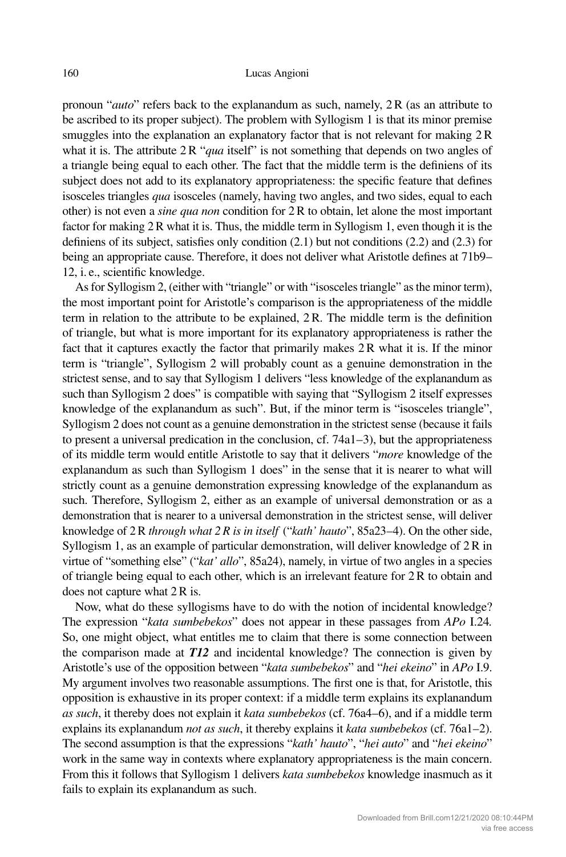pronoun "*auto*" refers back to the explanandum as such, namely, 2 R (as an attribute to be ascribed to its proper subject). The problem with Syllogism 1 is that its minor premise smuggles into the explanation an explanatory factor that is not relevant for making 2 R what it is. The attribute 2R "*qua* itself" is not something that depends on two angles of a triangle being equal to each other. The fact that the middle term is the definiens of its subject does not add to its explanatory appropriateness: the specific feature that defines isosceles triangles *qua* isosceles (namely, having two angles, and two sides, equal to each other) is not even a *sine qua non* condition for 2 R to obtain, let alone the most important factor for making 2 R what it is. Thus, the middle term in Syllogism 1, even though it is the definiens of its subject, satisfies only condition  $(2.1)$  but not conditions  $(2.2)$  and  $(2.3)$  for being an appropriate cause. Therefore, it does not deliver what Aristotle defines at 71b9– 12, i. e., scientific knowledge.

As for Syllogism 2, (either with "triangle" or with "isosceles triangle" as the minor term), the most important point for Aristotle's comparison is the appropriateness of the middle term in relation to the attribute to be explained,  $2R$ . The middle term is the definition of triangle, but what is more important for its explanatory appropriateness is rather the fact that it captures exactly the factor that primarily makes 2 R what it is. If the minor term is "triangle", Syllogism 2 will probably count as a genuine demonstration in the strictest sense, and to say that Syllogism 1 delivers "less knowledge of the explanandum as such than Syllogism 2 does" is compatible with saying that "Syllogism 2 itself expresses knowledge of the explanandum as such". But, if the minor term is "isosceles triangle", Syllogism 2 does not count as a genuine demonstration in the strictest sense (because it fails to present a universal predication in the conclusion, cf. 74a1–3), but the appropriateness of its middle term would entitle Aristotle to say that it delivers "*more* knowledge of the explanandum as such than Syllogism 1 does" in the sense that it is nearer to what will strictly count as a genuine demonstration expressing knowledge of the explanandum as such. Therefore, Syllogism 2, either as an example of universal demonstration or as a demonstration that is nearer to a universal demonstration in the strictest sense, will deliver knowledge of 2 R *through what 2 R is in itself* ("*kath' hauto*", 85a23–4). On the other side, Syllogism 1, as an example of particular demonstration, will deliver knowledge of 2 R in virtue of "something else" ("*kat' allo*", 85a24), namely, in virtue of two angles in a species of triangle being equal to each other, which is an irrelevant feature for 2 R to obtain and does not capture what 2 R is.

Now, what do these syllogisms have to do with the notion of incidental knowledge? The expression "*kata sumbebekos*" does not appear in these passages from *APo* I.24*.* So, one might object, what entitles me to claim that there is some connection between the comparison made at *T12* and incidental knowledge? The connection is given by Aristotle's use of the opposition between "*kata sumbebekos*" and "*hei ekeino*" in *APo* I.9. My argument involves two reasonable assumptions. The first one is that, for Aristotle, this opposition is exhaustive in its proper context: if a middle term explains its explanandum *as such*, it thereby does not explain it *kata sumbebekos* (cf. 76a4–6), and if a middle term explains its explanandum *not as such*, it thereby explains it *kata sumbebekos* (cf. 76a1–2). The second assumption is that the expressions "*kath' hauto*", "*hei auto*" and "*hei ekeino*" work in the same way in contexts where explanatory appropriateness is the main concern. From this it follows that Syllogism 1 delivers *kata sumbebekos* knowledge inasmuch as it fails to explain its explanandum as such.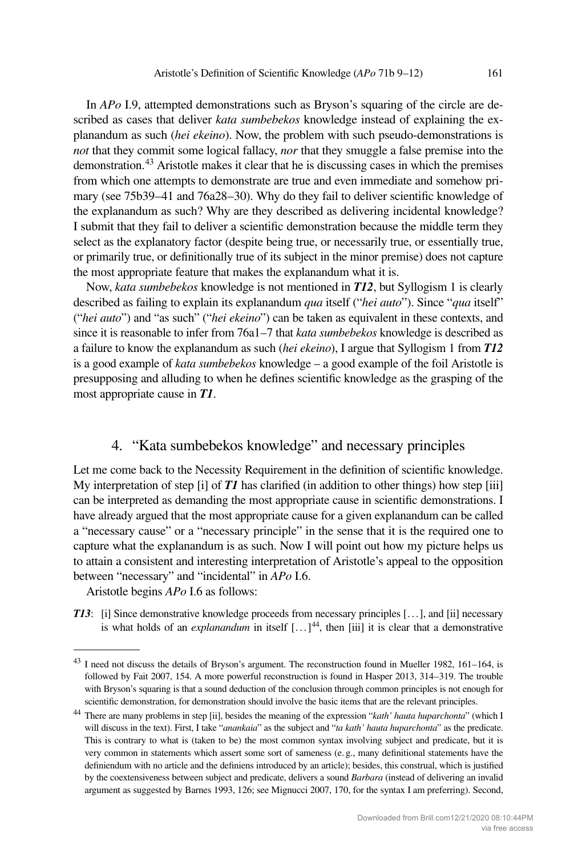In *APo* I.9, attempted demonstrations such as Bryson's squaring of the circle are described as cases that deliver *kata sumbebekos* knowledge instead of explaining the explanandum as such (*hei ekeino*). Now, the problem with such pseudo-demonstrations is *not* that they commit some logical fallacy, *nor* that they smuggle a false premise into the demonstration.<sup>43</sup> Aristotle makes it clear that he is discussing cases in which the premises from which one attempts to demonstrate are true and even immediate and somehow primary (see 75b39–41 and 76a28–30). Why do they fail to deliver scientific knowledge of the explanandum as such? Why are they described as delivering incidental knowledge? I submit that they fail to deliver a scientific demonstration because the middle term they select as the explanatory factor (despite being true, or necessarily true, or essentially true, or primarily true, or definitionally true of its subject in the minor premise) does not capture the most appropriate feature that makes the explanandum what it is.

Now, *kata sumbebekos* knowledge is not mentioned in *T12*, but Syllogism 1 is clearly described as failing to explain its explanandum *qua* itself ("*hei auto*"). Since "*qua* itself" ("*hei auto*") and "as such" ("*hei ekeino*") can be taken as equivalent in these contexts, and since it is reasonable to infer from 76a1–7 that *kata sumbebekos* knowledge is described as a failure to know the explanandum as such (*hei ekeino*), I argue that Syllogism 1 from *T12* is a good example of *kata sumbebekos* knowledge – a good example of the foil Aristotle is presupposing and alluding to when he defines scientific knowledge as the grasping of the most appropriate cause in *T1*.

# 4. "Kata sumbebekos knowledge" and necessary principles

Let me come back to the Necessity Requirement in the definition of scientific knowledge. My interpretation of step  $[i]$  of  $TI$  has clarified (in addition to other things) how step  $[iii]$ can be interpreted as demanding the most appropriate cause in scientific demonstrations. I have already argued that the most appropriate cause for a given explanandum can be called a "necessary cause" or a "necessary principle" in the sense that it is the required one to capture what the explanandum is as such. Now I will point out how my picture helps us to attain a consistent and interesting interpretation of Aristotle's appeal to the opposition between "necessary" and "incidental" in *APo* I.6.

Aristotle begins *APo* I.6 as follows:

*T13*: [i] Since demonstrative knowledge proceeds from necessary principles [...], and [ii] necessary is what holds of an *explanandum* in itself  $[...]^{44}$ , then [iii] it is clear that a demonstrative

<sup>43</sup> I need not discuss the details of Bryson's argument. The reconstruction found in Mueller 1982, 161–164, is followed by Fait 2007, 154. A more powerful reconstruction is found in Hasper 2013, 314–319. The trouble with Bryson's squaring is that a sound deduction of the conclusion through common principles is not enough for scientific demonstration, for demonstration should involve the basic items that are the relevant principles.

<sup>44</sup> There are many problems in step [ii], besides the meaning of the expression "*kath' hauta huparchonta*" (which I will discuss in the text). First, I take "*anankaia*" as the subject and "*ta kath' hauta huparchonta*" as the predicate. This is contrary to what is (taken to be) the most common syntax involving subject and predicate, but it is very common in statements which assert some sort of sameness (e.g., many definitional statements have the definiendum with no article and the definiens introduced by an article); besides, this construal, which is justified by the coextensiveness between subject and predicate, delivers a sound *Barbara* (instead of delivering an invalid argument as suggested by Barnes 1993, 126; see Mignucci 2007, 170, for the syntax I am preferring). Second,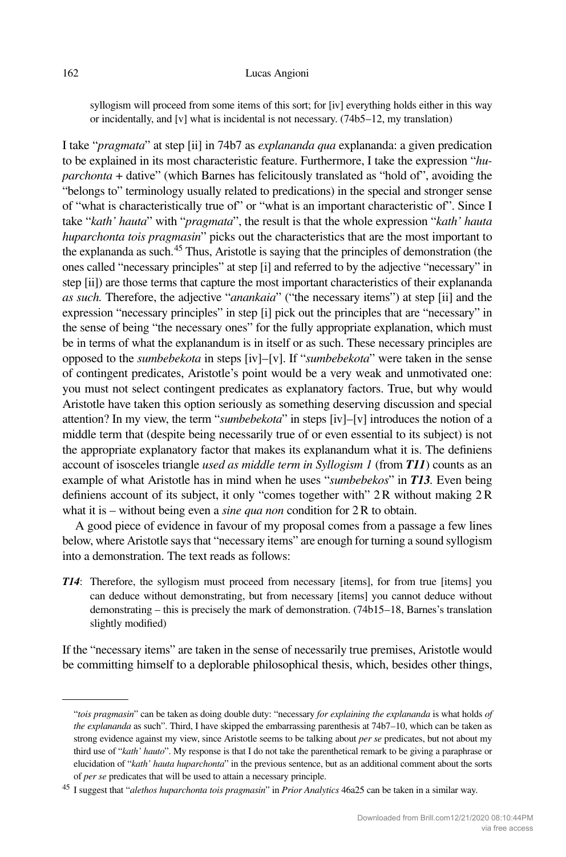#### 162 Lucas Angioni

syllogism will proceed from some items of this sort; for [iv] everything holds either in this way or incidentally, and [v] what is incidental is not necessary. (74b5–12, my translation)

I take "*pragmata*" at step [ii] in 74b7 as *explananda qua* explananda: a given predication to be explained in its most characteristic feature. Furthermore, I take the expression "*huparchonta* + dative" (which Barnes has felicitously translated as "hold of", avoiding the "belongs to" terminology usually related to predications) in the special and stronger sense of "what is characteristically true of" or "what is an important characteristic of". Since I take "*kath' hauta*" with "*pragmata*", the result is that the whole expression "*kath' hauta huparchonta tois pragmasin*" picks out the characteristics that are the most important to the explananda as such.<sup>45</sup> Thus, Aristotle is saying that the principles of demonstration (the ones called "necessary principles" at step [i] and referred to by the adjective "necessary" in step [ii]) are those terms that capture the most important characteristics of their explananda *as such.* Therefore, the adjective "*anankaia*" ("the necessary items") at step [ii] and the expression "necessary principles" in step [i] pick out the principles that are "necessary" in the sense of being "the necessary ones" for the fully appropriate explanation, which must be in terms of what the explanandum is in itself or as such. These necessary principles are opposed to the *sumbebekota* in steps [iv]–[v]. If "*sumbebekota*" were taken in the sense of contingent predicates, Aristotle's point would be a very weak and unmotivated one: you must not select contingent predicates as explanatory factors. True, but why would Aristotle have taken this option seriously as something deserving discussion and special attention? In my view, the term "*sumbebekota*" in steps [iv]–[v] introduces the notion of a middle term that (despite being necessarily true of or even essential to its subject) is not the appropriate explanatory factor that makes its explanandum what it is. The definiens account of isosceles triangle *used as middle term in Syllogism 1* (from *T11*) counts as an example of what Aristotle has in mind when he uses "*sumbebekos*" in *T13.* Even being definiens account of its subject, it only "comes together with" 2R without making 2R what it is – without being even a *sine qua non* condition for 2 R to obtain.

A good piece of evidence in favour of my proposal comes from a passage a few lines below, where Aristotle says that "necessary items" are enough for turning a sound syllogism into a demonstration. The text reads as follows:

*T14*: Therefore, the syllogism must proceed from necessary [items], for from true [items] you can deduce without demonstrating, but from necessary [items] you cannot deduce without demonstrating – this is precisely the mark of demonstration. (74b15–18, Barnes's translation slightly modified)

If the "necessary items" are taken in the sense of necessarily true premises, Aristotle would be committing himself to a deplorable philosophical thesis, which, besides other things,

<sup>&</sup>quot;*tois pragmasin*" can be taken as doing double duty: "necessary *for explaining the explananda* is what holds *of the explananda* as such". Third, I have skipped the embarrassing parenthesis at 74b7–10, which can be taken as strong evidence against my view, since Aristotle seems to be talking about *per se* predicates, but not about my third use of "*kath' hauto*". My response is that I do not take the parenthetical remark to be giving a paraphrase or elucidation of "*kath' hauta huparchonta*" in the previous sentence, but as an additional comment about the sorts of *per se* predicates that will be used to attain a necessary principle.

<sup>45</sup> I suggest that "*alethos huparchonta tois pragmasin*" in *Prior Analytics* 46a25 can be taken in a similar way.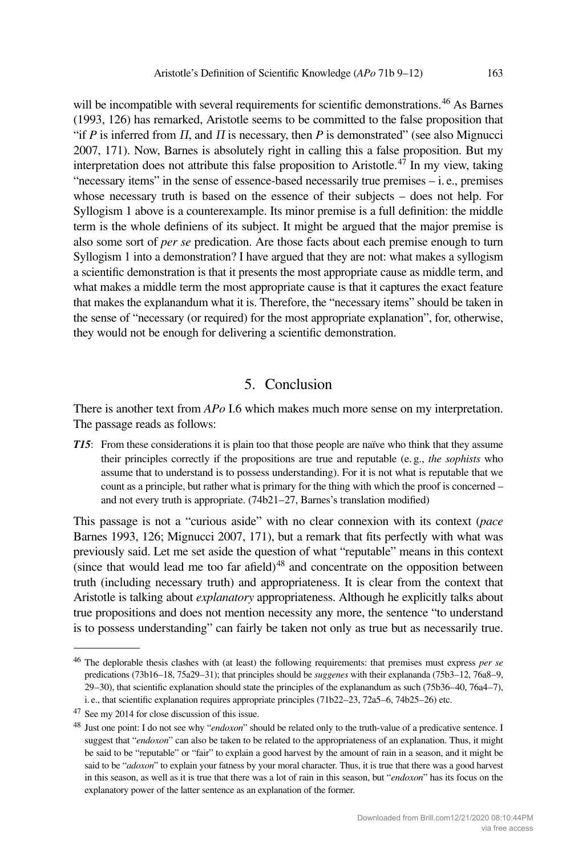will be incompatible with several requirements for scientific demonstrations.  $46$  As Barnes (1993, 126) has remarked, Aristotle seems to be committed to the false proposition that "if *P* is inferred from  $\Pi$ , and  $\Pi$  is necessary, then *P* is demonstrated" (see also Mignucci 2007, 171). Now, Barnes is absolutely right in calling this a false proposition. But my interpretation does not attribute this false proposition to Aristotle.<sup>47</sup> In my view, taking "necessary items" in the sense of essence-based necessarily true premises – i. e., premises whose necessary truth is based on the essence of their subjects – does not help. For Syllogism 1 above is a counterexample. Its minor premise is a full definition: the middle term is the whole definiens of its subject. It might be argued that the major premise is also some sort of *per se* predication. Are those facts about each premise enough to turn Syllogism 1 into a demonstration? I have argued that they are not: what makes a syllogism a scientific demonstration is that it presents the most appropriate cause as middle term, and what makes a middle term the most appropriate cause is that it captures the exact feature that makes the explanandum what it is. Therefore, the "necessary items" should be taken in the sense of "necessary (or required) for the most appropriate explanation", for, otherwise, they would not be enough for delivering a scientific demonstration.

#### 5. Conclusion

There is another text from *APo* I.6 which makes much more sense on my interpretation. The passage reads as follows:

*T15*: From these considerations it is plain too that those people are naïve who think that they assume their principles correctly if the propositions are true and reputable (e. g., *the sophists* who assume that to understand is to possess understanding). For it is not what is reputable that we count as a principle, but rather what is primary for the thing with which the proof is concerned – and not every truth is appropriate.  $(74b21-27,$  Barnes's translation modified)

This passage is not a "curious aside" with no clear connexion with its context (*pace* Barnes 1993, 126; Mignucci 2007, 171), but a remark that fits perfectly with what was previously said. Let me set aside the question of what "reputable" means in this context (since that would lead me too far afield)<sup>48</sup> and concentrate on the opposition between truth (including necessary truth) and appropriateness. It is clear from the context that Aristotle is talking about *explanatory* appropriateness. Although he explicitly talks about true propositions and does not mention necessity any more, the sentence "to understand is to possess understanding" can fairly be taken not only as true but as necessarily true.

<sup>46</sup> The deplorable thesis clashes with (at least) the following requirements: that premises must express *per se* predications (73b16–18, 75a29–31); that principles should be *suggenes* with their explananda (75b3–12, 76a8–9,  $29-30$ , that scientific explanation should state the principles of the explanandum as such (75b36–40, 76a4–7). i. e., that scientific explanation requires appropriate principles  $(71b22-23, 72a5-6, 74b25-26)$  etc.

<sup>47</sup> See my 2014 for close discussion of this issue.

<sup>48</sup> Just one point: I do not see why "*endoxon*" should be related only to the truth-value of a predicative sentence. I suggest that "*endoxon*" can also be taken to be related to the appropriateness of an explanation. Thus, it might be said to be "reputable" or "fair" to explain a good harvest by the amount of rain in a season, and it might be said to be "*adoxon*" to explain your fatness by your moral character. Thus, it is true that there was a good harvest in this season, as well as it is true that there was a lot of rain in this season, but "*endoxon*" has its focus on the explanatory power of the latter sentence as an explanation of the former.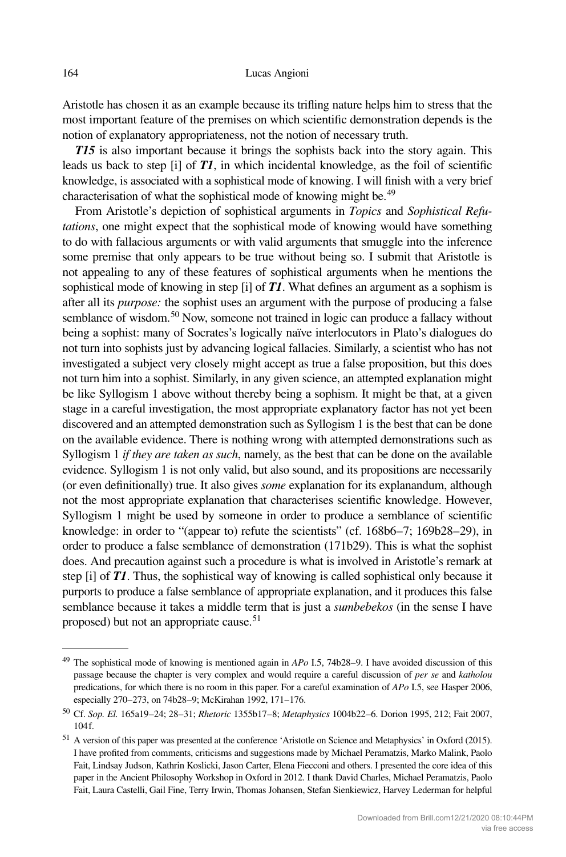Aristotle has chosen it as an example because its triing nature helps him to stress that the most important feature of the premises on which scientific demonstration depends is the notion of explanatory appropriateness, not the notion of necessary truth.

*T15* is also important because it brings the sophists back into the story again. This leads us back to step  $[i]$  of  $TI$ , in which incidental knowledge, as the foil of scientific knowledge, is associated with a sophistical mode of knowing. I will finish with a very brief characterisation of what the sophistical mode of knowing might be.<sup>49</sup>

From Aristotle's depiction of sophistical arguments in *Topics* and *Sophistical Refutations*, one might expect that the sophistical mode of knowing would have something to do with fallacious arguments or with valid arguments that smuggle into the inference some premise that only appears to be true without being so. I submit that Aristotle is not appealing to any of these features of sophistical arguments when he mentions the sophistical mode of knowing in step [i] of T1. What defines an argument as a sophism is after all its *purpose:* the sophist uses an argument with the purpose of producing a false semblance of wisdom.<sup>50</sup> Now, someone not trained in logic can produce a fallacy without being a sophist: many of Socrates's logically naïve interlocutors in Plato's dialogues do not turn into sophists just by advancing logical fallacies. Similarly, a scientist who has not investigated a subject very closely might accept as true a false proposition, but this does not turn him into a sophist. Similarly, in any given science, an attempted explanation might be like Syllogism 1 above without thereby being a sophism. It might be that, at a given stage in a careful investigation, the most appropriate explanatory factor has not yet been discovered and an attempted demonstration such as Syllogism 1 is the best that can be done on the available evidence. There is nothing wrong with attempted demonstrations such as Syllogism 1 *if they are taken as such*, namely, as the best that can be done on the available evidence. Syllogism 1 is not only valid, but also sound, and its propositions are necessarily (or even definitionally) true. It also gives *some* explanation for its explanandum, although not the most appropriate explanation that characterises scientific knowledge. However, Syllogism 1 might be used by someone in order to produce a semblance of scientific knowledge: in order to "(appear to) refute the scientists" (cf. 168b6–7; 169b28–29), in order to produce a false semblance of demonstration (171b29). This is what the sophist does. And precaution against such a procedure is what is involved in Aristotle's remark at step [i] of *T1*. Thus, the sophistical way of knowing is called sophistical only because it purports to produce a false semblance of appropriate explanation, and it produces this false semblance because it takes a middle term that is just a *sumbebekos* (in the sense I have proposed) but not an appropriate cause.<sup>51</sup>

<sup>49</sup> The sophistical mode of knowing is mentioned again in *APo* I.5, 74b28–9. I have avoided discussion of this passage because the chapter is very complex and would require a careful discussion of *per se* and *katholou* predications, for which there is no room in this paper. For a careful examination of *APo* I.5, see Hasper 2006, especially 270–273, on 74b28–9; McKirahan 1992, 171–176.

<sup>50</sup> Cf. *Sop. El.* 165a19–24; 28–31; *Rhetoric* 1355b17–8; *Metaphysics* 1004b22–6. Dorion 1995, 212; Fait 2007, 104f.

<sup>51</sup> A version of this paper was presented at the conference 'Aristotle on Science and Metaphysics' in Oxford (2015). I have profited from comments, criticisms and suggestions made by Michael Peramatzis, Marko Malink, Paolo Fait, Lindsay Judson, Kathrin Koslicki, Jason Carter, Elena Fiecconi and others. I presented the core idea of this paper in the Ancient Philosophy Workshop in Oxford in 2012. I thank David Charles, Michael Peramatzis, Paolo Fait, Laura Castelli, Gail Fine, Terry Irwin, Thomas Johansen, Stefan Sienkiewicz, Harvey Lederman for helpful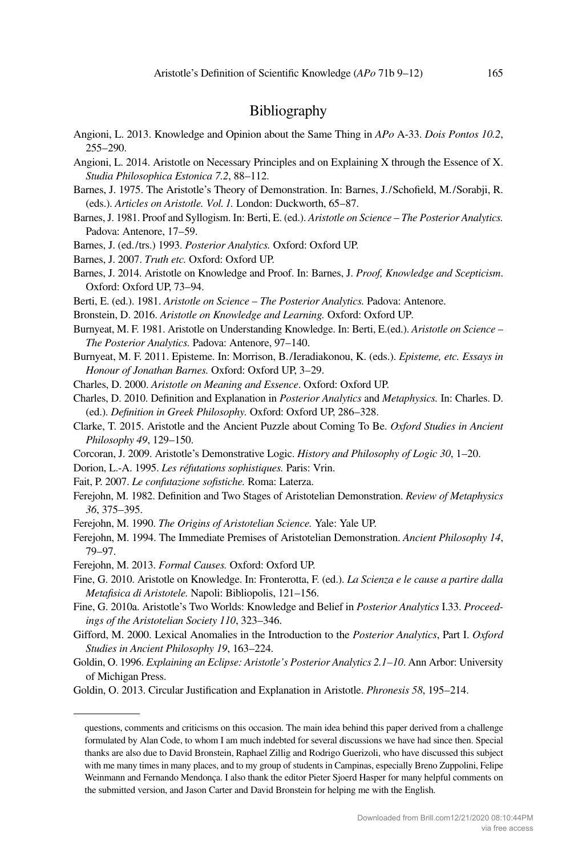# Bibliography

- Angioni, L. 2013. Knowledge and Opinion about the Same Thing in *APo* A-33. *Dois Pontos 10.2*, 255–290.
- Angioni, L. 2014. Aristotle on Necessary Principles and on Explaining X through the Essence of X. *Studia Philosophica Estonica 7.2*, 88–112.
- Barnes, J. 1975. The Aristotle's Theory of Demonstration. In: Barnes, J./Schofield, M./Sorabii, R. (eds.). *Articles on Aristotle. Vol. 1.* London: Duckworth, 65–87.
- Barnes, J. 1981. Proof and Syllogism. In: Berti, E. (ed.). *Aristotle on Science The Posterior Analytics.* Padova: Antenore, 17–59.
- Barnes, J. (ed./trs.) 1993. *Posterior Analytics.* Oxford: Oxford UP.
- Barnes, J. 2007. *Truth etc.* Oxford: Oxford UP.
- Barnes, J. 2014. Aristotle on Knowledge and Proof. In: Barnes, J. *Proof, Knowledge and Scepticism*. Oxford: Oxford UP, 73–94.
- Berti, E. (ed.). 1981. *Aristotle on Science The Posterior Analytics.* Padova: Antenore.
- Bronstein, D. 2016. *Aristotle on Knowledge and Learning.* Oxford: Oxford UP*.*
- Burnyeat, M. F. 1981. Aristotle on Understanding Knowledge. In: Berti, E.(ed.). *Aristotle on Science The Posterior Analytics.* Padova: Antenore, 97–140.
- Burnyeat, M. F. 2011. Episteme. In: Morrison, B./Ieradiakonou, K. (eds.). *Episteme, etc. Essays in Honour of Jonathan Barnes.* Oxford: Oxford UP, 3–29.
- Charles, D. 2000. *Aristotle on Meaning and Essence*. Oxford: Oxford UP.
- Charles, D. 2010. Definition and Explanation in *Posterior Analytics* and *Metaphysics*. In: Charles. D. (ed.). Definition in Greek Philosophy. Oxford: Oxford UP, 286-328.
- Clarke, T. 2015. Aristotle and the Ancient Puzzle about Coming To Be. *Oxford Studies in Ancient Philosophy 49*, 129–150.
- Corcoran, J. 2009. Aristotle's Demonstrative Logic. *History and Philosophy of Logic 30*, 1–20.
- Dorion, L.-A. 1995. *Les réfutations sophistiques.* Paris: Vrin.
- Fait, P. 2007. Le confutazione sofistiche. Roma: Laterza.
- Ferejohn, M. 1982. Definition and Two Stages of Aristotelian Demonstration. *Review of Metaphysics 36*, 375–395.
- Ferejohn, M. 1990. *The Origins of Aristotelian Science.* Yale: Yale UP.
- Ferejohn, M. 1994. The Immediate Premises of Aristotelian Demonstration. *Ancient Philosophy 14*, 79–97.
- Ferejohn, M. 2013. *Formal Causes.* Oxford: Oxford UP.
- Fine, G. 2010. Aristotle on Knowledge. In: Fronterotta, F. (ed.). *La Scienza e le cause a partire dalla* Metafisica di Aristotele. Napoli: Bibliopolis, 121-156.
- Fine, G. 2010a. Aristotle's Two Worlds: Knowledge and Belief in *Posterior Analytics* I.33. *Proceedings of the Aristotelian Society 110*, 323–346.
- Gifford, M. 2000. Lexical Anomalies in the Introduction to the *Posterior Analytics*, Part I. *Oxford Studies in Ancient Philosophy 19*, 163–224.
- Goldin, O. 1996. *Explaining an Eclipse: Aristotle's Posterior Analytics 2.1–10*. Ann Arbor: University of Michigan Press.
- Goldin, O. 2013. Circular Justification and Explanation in Aristotle. *Phronesis 58*, 195-214.

questions, comments and criticisms on this occasion. The main idea behind this paper derived from a challenge formulated by Alan Code, to whom I am much indebted for several discussions we have had since then. Special thanks are also due to David Bronstein, Raphael Zillig and Rodrigo Guerizoli, who have discussed this subject with me many times in many places, and to my group of students in Campinas, especially Breno Zuppolini, Felipe Weinmann and Fernando Mendonça. I also thank the editor Pieter Sjoerd Hasper for many helpful comments on the submitted version, and Jason Carter and David Bronstein for helping me with the English.